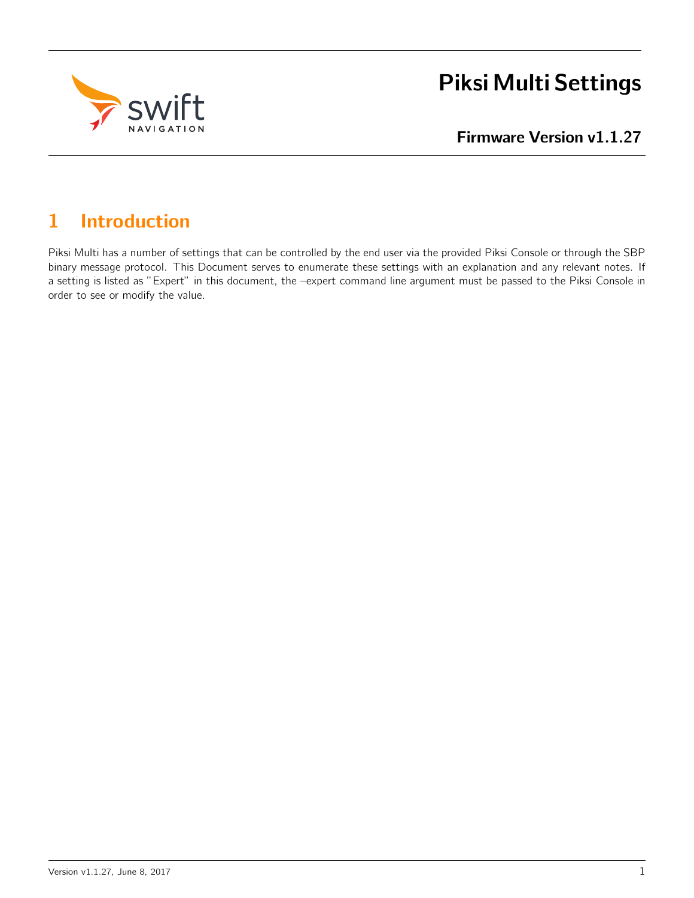

# Piksi Multi Settings

Firmware Version v1.1.27

# 1 Introduction

Piksi Multi has a number of settings that can be controlled by the end user via the provided Piksi Console or through the SBP binary message protocol. This Document serves to enumerate these settings with an explanation and any relevant notes. If a setting is listed as "Expert" in this document, the –expert command line argument must be passed to the Piksi Console in order to see or modify the value.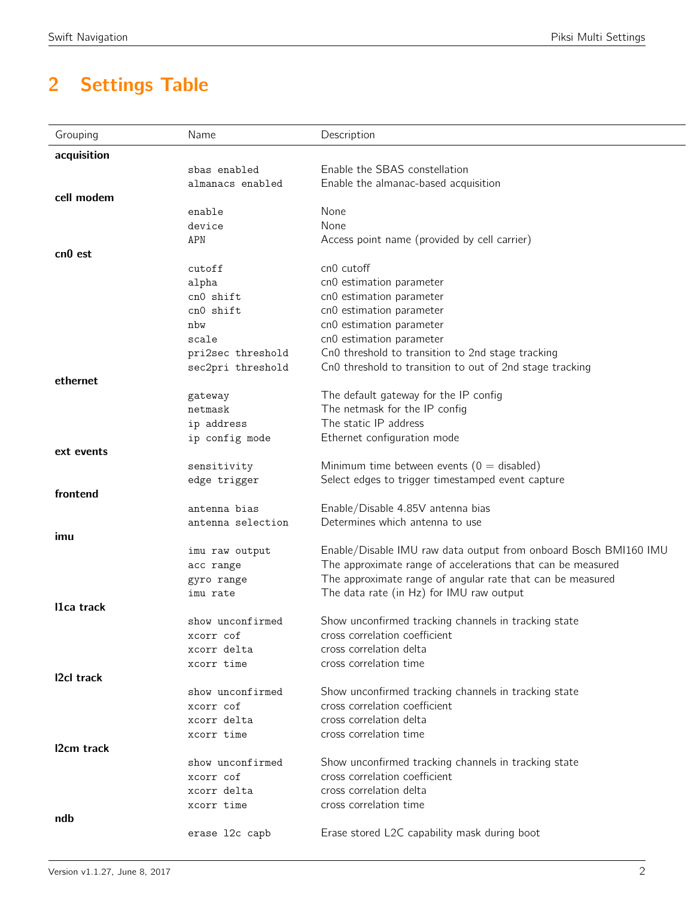# 2 Settings Table

| Grouping            | Name              | Description                                                      |
|---------------------|-------------------|------------------------------------------------------------------|
| acquisition         |                   |                                                                  |
|                     | sbas enabled      | Enable the SBAS constellation                                    |
|                     | almanacs enabled  | Enable the almanac-based acquisition                             |
| cell modem          |                   |                                                                  |
|                     | enable            | None                                                             |
|                     | device            | None                                                             |
|                     | APN               | Access point name (provided by cell carrier)                     |
| cn <sub>0</sub> est |                   |                                                                  |
|                     | cutoff            | cn0 cutoff                                                       |
|                     | alpha             | cn0 estimation parameter                                         |
|                     | cn0 shift         | cn0 estimation parameter                                         |
|                     | cn0 shift         | cn0 estimation parameter                                         |
|                     | nbw               | cn0 estimation parameter                                         |
|                     | scale             | cn0 estimation parameter                                         |
|                     | pri2sec threshold | Cn0 threshold to transition to 2nd stage tracking                |
|                     | sec2pri threshold | Cn0 threshold to transition to out of 2nd stage tracking         |
| ethernet            |                   |                                                                  |
|                     | gateway           | The default gateway for the IP config                            |
|                     | netmask           | The netmask for the IP config                                    |
|                     | ip address        | The static IP address                                            |
|                     | ip config mode    | Ethernet configuration mode                                      |
| ext events          |                   |                                                                  |
|                     | sensitivity       | Minimum time between events ( $0 =$ disabled)                    |
|                     | edge trigger      | Select edges to trigger timestamped event capture                |
| frontend            |                   |                                                                  |
|                     | antenna bias      | Enable/Disable 4.85V antenna bias                                |
|                     | antenna selection | Determines which antenna to use                                  |
| imu                 |                   |                                                                  |
|                     | imu raw output    | Enable/Disable IMU raw data output from onboard Bosch BMI160 IMU |
|                     | acc range         | The approximate range of accelerations that can be measured      |
|                     | gyro range        | The approximate range of angular rate that can be measured       |
|                     | imu rate          | The data rate (in Hz) for IMU raw output                         |
| I1ca track          |                   |                                                                  |
|                     | show unconfirmed  | Show unconfirmed tracking channels in tracking state             |
|                     | xcorr cof         | cross correlation coefficient                                    |
|                     | xcorr delta       | cross correlation delta                                          |
|                     | xcorr time        | cross correlation time                                           |
| 12cl track          |                   |                                                                  |
|                     | show unconfirmed  | Show unconfirmed tracking channels in tracking state             |
|                     | xcorr cof         | cross correlation coefficient                                    |
|                     | xcorr delta       | cross correlation delta                                          |
|                     | xcorr time        | cross correlation time                                           |
| I2cm track          |                   |                                                                  |
|                     | show unconfirmed  | Show unconfirmed tracking channels in tracking state             |
|                     | xcorr cof         | cross correlation coefficient                                    |
|                     | xcorr delta       | cross correlation delta                                          |
|                     | xcorr time        | cross correlation time                                           |
| ndb                 |                   |                                                                  |
|                     | erase 12c capb    | Erase stored L2C capability mask during boot                     |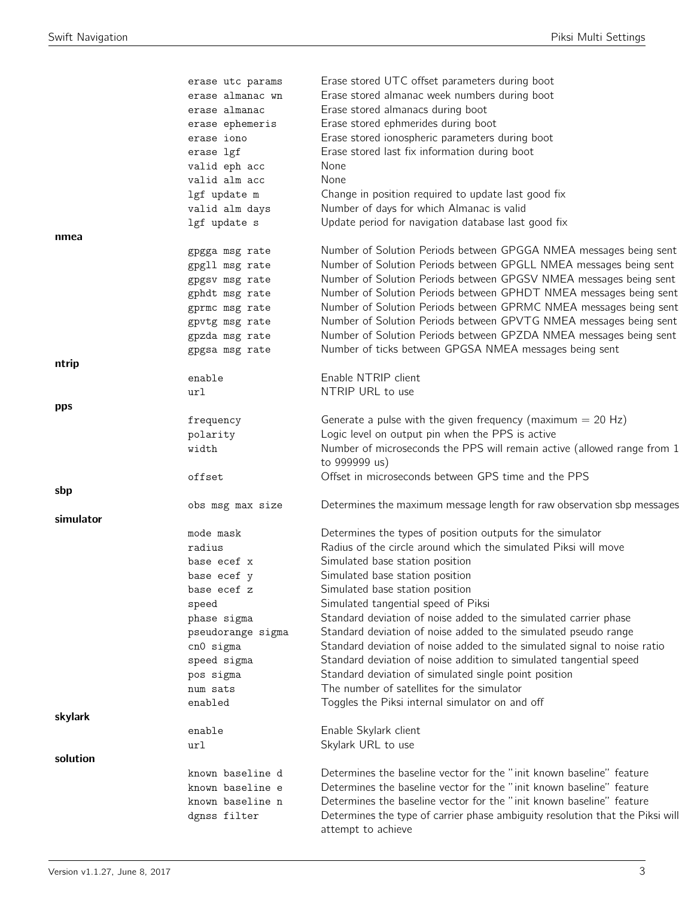|           | erase utc params  | Erase stored UTC offset parameters during boot                                           |
|-----------|-------------------|------------------------------------------------------------------------------------------|
|           | erase almanac wn  | Erase stored almanac week numbers during boot                                            |
|           | erase almanac     | Erase stored almanacs during boot                                                        |
|           | erase ephemeris   | Erase stored ephmerides during boot                                                      |
|           | erase iono        | Erase stored ionospheric parameters during boot                                          |
|           | erase lgf         | Erase stored last fix information during boot                                            |
|           | valid eph acc     | None                                                                                     |
|           | valid alm acc     | None                                                                                     |
|           | lgf update m      | Change in position required to update last good fix                                      |
|           | valid alm days    | Number of days for which Almanac is valid                                                |
|           | lgf update s      | Update period for navigation database last good fix                                      |
| nmea      |                   |                                                                                          |
|           | gpgga msg rate    | Number of Solution Periods between GPGGA NMEA messages being sent                        |
|           | gpgll msg rate    | Number of Solution Periods between GPGLL NMEA messages being sent                        |
|           |                   | Number of Solution Periods between GPGSV NMEA messages being sent                        |
|           | gpgsv msg rate    | Number of Solution Periods between GPHDT NMEA messages being sent                        |
|           | gphdt msg rate    |                                                                                          |
|           | gprmc msg rate    | Number of Solution Periods between GPRMC NMEA messages being sent                        |
|           | gpvtg msg rate    | Number of Solution Periods between GPVTG NMEA messages being sent                        |
|           | gpzda msg rate    | Number of Solution Periods between GPZDA NMEA messages being sent                        |
|           | gpgsa msg rate    | Number of ticks between GPGSA NMEA messages being sent                                   |
| ntrip     |                   |                                                                                          |
|           | enable            | Enable NTRIP client                                                                      |
|           | url               | NTRIP URL to use                                                                         |
| pps       |                   |                                                                                          |
|           | frequency         | Generate a pulse with the given frequency (maximum $= 20$ Hz)                            |
|           | polarity          | Logic level on output pin when the PPS is active                                         |
|           | width             | Number of microseconds the PPS will remain active (allowed range from 1<br>to 999999 us) |
|           | offset            | Offset in microseconds between GPS time and the PPS                                      |
| sbp       |                   |                                                                                          |
|           | obs msg max size  | Determines the maximum message length for raw observation sbp messages                   |
| simulator |                   |                                                                                          |
|           | mode mask         | Determines the types of position outputs for the simulator                               |
|           | radius            | Radius of the circle around which the simulated Piksi will move                          |
|           | base ecef x       | Simulated base station position                                                          |
|           | base ecef y       | Simulated base station position                                                          |
|           | base ecef z       | Simulated base station position                                                          |
|           | speed             | Simulated tangential speed of Piksi                                                      |
|           | phase sigma       | Standard deviation of noise added to the simulated carrier phase                         |
|           | pseudorange sigma | Standard deviation of noise added to the simulated pseudo range                          |
|           | cn0 sigma         | Standard deviation of noise added to the simulated signal to noise ratio                 |
|           | speed sigma       | Standard deviation of noise addition to simulated tangential speed                       |
|           | pos sigma         | Standard deviation of simulated single point position                                    |
|           | num sats          | The number of satellites for the simulator                                               |
|           | enabled           | Toggles the Piksi internal simulator on and off                                          |
| skylark   |                   |                                                                                          |
|           | enable            | Enable Skylark client                                                                    |
|           | url               | Skylark URL to use                                                                       |
| solution  |                   |                                                                                          |
|           | known baseline d  | Determines the baseline vector for the "init known baseline" feature                     |
|           | known baseline e  | Determines the baseline vector for the "init known baseline" feature                     |
|           | known baseline n  | Determines the baseline vector for the "init known baseline" feature                     |
|           | dgnss filter      | Determines the type of carrier phase ambiguity resolution that the Piksi will            |
|           |                   | attempt to achieve                                                                       |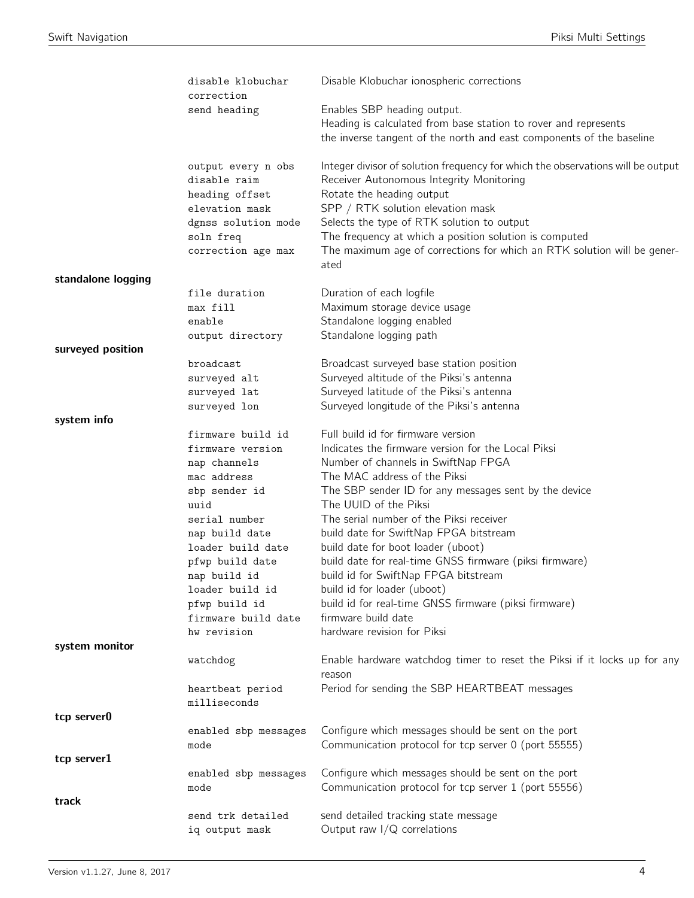|                    | disable klobuchar<br>correction  | Disable Klobuchar ionospheric corrections                                          |
|--------------------|----------------------------------|------------------------------------------------------------------------------------|
|                    | send heading                     | Enables SBP heading output.                                                        |
|                    |                                  | Heading is calculated from base station to rover and represents                    |
|                    |                                  | the inverse tangent of the north and east components of the baseline               |
|                    | output every n obs               | Integer divisor of solution frequency for which the observations will be output    |
|                    | disable raim                     | Receiver Autonomous Integrity Monitoring                                           |
|                    | heading offset                   | Rotate the heading output                                                          |
|                    | elevation mask                   | SPP / RTK solution elevation mask<br>Selects the type of RTK solution to output    |
|                    | dgnss solution mode<br>soln freq | The frequency at which a position solution is computed                             |
|                    | correction age max               | The maximum age of corrections for which an RTK solution will be gener-            |
|                    |                                  | ated                                                                               |
| standalone logging |                                  |                                                                                    |
|                    | file duration                    | Duration of each logfile                                                           |
|                    | max fill                         | Maximum storage device usage                                                       |
|                    | enable                           | Standalone logging enabled                                                         |
|                    | output directory                 | Standalone logging path                                                            |
| surveyed position  |                                  |                                                                                    |
|                    | broadcast                        | Broadcast surveyed base station position                                           |
|                    | surveyed alt                     | Surveyed altitude of the Piksi's antenna                                           |
|                    | surveyed lat                     | Surveyed latitude of the Piksi's antenna                                           |
| system info        | surveyed lon                     | Surveyed longitude of the Piksi's antenna                                          |
|                    | firmware build id                | Full build id for firmware version                                                 |
|                    | firmware version                 | Indicates the firmware version for the Local Piksi                                 |
|                    | nap channels                     | Number of channels in SwiftNap FPGA                                                |
|                    | mac address                      | The MAC address of the Piksi                                                       |
|                    | sbp sender id                    | The SBP sender ID for any messages sent by the device                              |
|                    | uuid                             | The UUID of the Piksi                                                              |
|                    | serial number                    | The serial number of the Piksi receiver                                            |
|                    | nap build date                   | build date for SwiftNap FPGA bitstream                                             |
|                    | loader build date                | build date for boot loader (uboot)                                                 |
|                    | pfwp build date                  | build date for real-time GNSS firmware (piksi firmware)                            |
|                    | nap build id                     | build id for SwiftNap FPGA bitstream                                               |
|                    | loader build id                  | build id for loader (uboot)                                                        |
|                    | pfwp build id                    | build id for real-time GNSS firmware (piksi firmware)                              |
|                    | firmware build date              | firmware build date                                                                |
|                    | hw revision                      | hardware revision for Piksi                                                        |
| system monitor     |                                  |                                                                                    |
|                    | watchdog                         | Enable hardware watchdog timer to reset the Piksi if it locks up for any<br>reason |
|                    | heartbeat period                 | Period for sending the SBP HEARTBEAT messages                                      |
|                    | milliseconds                     |                                                                                    |
| tcp server0        |                                  |                                                                                    |
|                    | enabled sbp messages             | Configure which messages should be sent on the port                                |
|                    | mode                             | Communication protocol for tcp server 0 (port 55555)                               |
| tcp server1        |                                  |                                                                                    |
|                    | enabled sbp messages             | Configure which messages should be sent on the port                                |
|                    | mode                             | Communication protocol for tcp server 1 (port 55556)                               |
| track              |                                  |                                                                                    |
|                    | send trk detailed                | send detailed tracking state message                                               |
|                    | iq output mask                   | Output raw $I/Q$ correlations                                                      |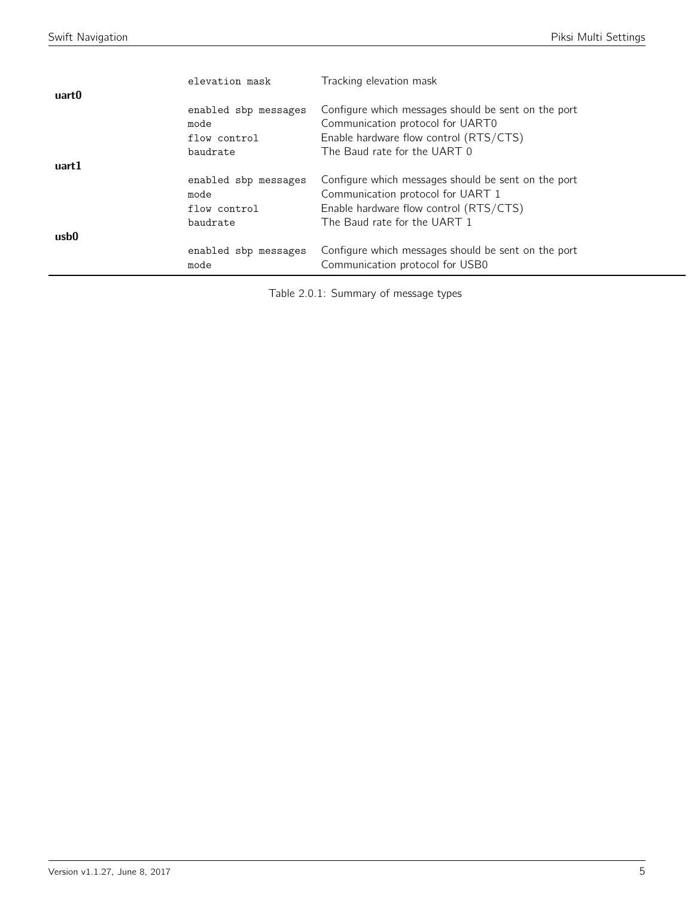|       | elevation mask               | Tracking elevation mask                                                                |
|-------|------------------------------|----------------------------------------------------------------------------------------|
| uart0 |                              |                                                                                        |
|       | enabled sbp messages         | Configure which messages should be sent on the port                                    |
|       | mode                         | Communication protocol for UART0                                                       |
|       | flow control                 | Enable hardware flow control (RTS/CTS)                                                 |
|       | baudrate                     | The Baud rate for the UART 0                                                           |
| uart1 |                              |                                                                                        |
|       | enabled sbp messages         | Configure which messages should be sent on the port                                    |
|       | mode                         | Communication protocol for UART 1                                                      |
|       | flow control                 | Enable hardware flow control (RTS/CTS)                                                 |
|       | baudrate                     | The Baud rate for the UART 1                                                           |
| usb0  |                              |                                                                                        |
|       | enabled sbp messages<br>mode | Configure which messages should be sent on the port<br>Communication protocol for USB0 |

Table 2.0.1: Summary of message types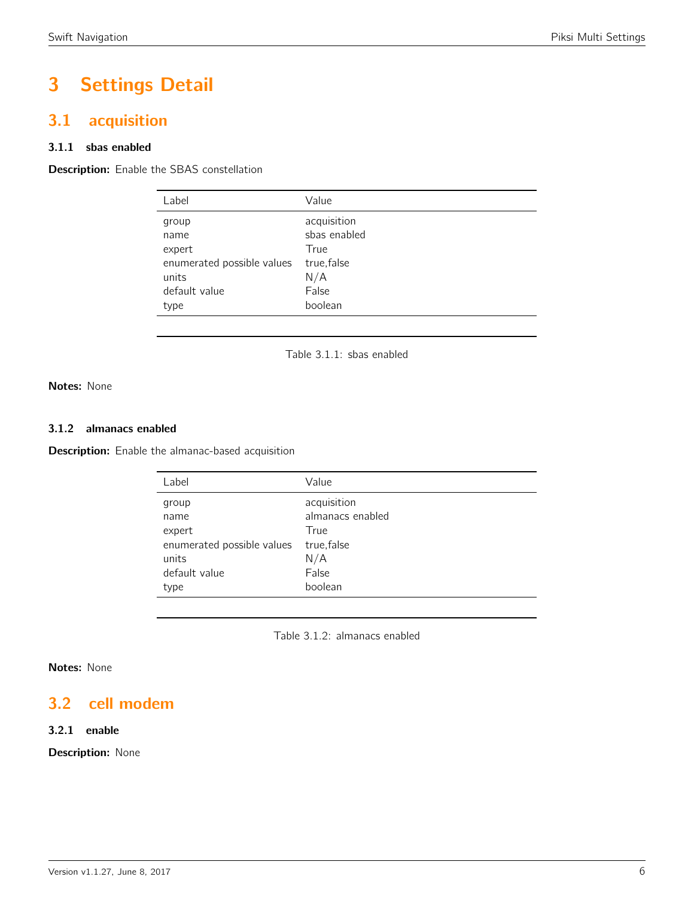# 3 Settings Detail

## <span id="page-5-0"></span>3.1 acquisition

### 3.1.1 sbas enabled

<span id="page-5-1"></span>**Description:** Enable the SBAS constellation

| Label                      | Value        |
|----------------------------|--------------|
| group                      | acquisition  |
| name                       | sbas enabled |
| expert                     | True         |
| enumerated possible values | true, false  |
| units                      | N/A          |
| default value              | False        |
| type                       | boolean      |
|                            |              |

Table 3.1.1: sbas enabled

Notes: None

### 3.1.2 almanacs enabled

**Description:** Enable the almanac-based acquisition

| Value            |
|------------------|
| acquisition      |
| almanacs enabled |
| True             |
| true, false      |
| N/A              |
| False            |
| boolean          |
|                  |

Table 3.1.2: almanacs enabled

### Notes: None

## <span id="page-5-2"></span>3.2 cell modem

### 3.2.1 enable

Description: None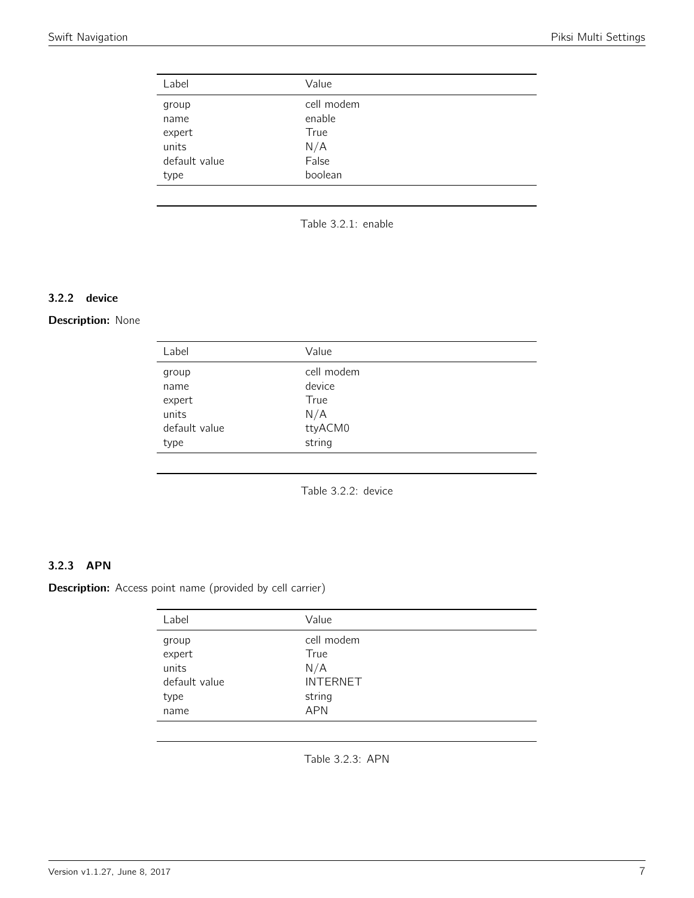<span id="page-6-0"></span>

| cell modem |
|------------|
| enable     |
| True       |
| N/A        |
| False      |
| boolean    |
|            |



### 3.2.2 device

### <span id="page-6-1"></span>Description: None

| Label         | Value      |  |
|---------------|------------|--|
| group         | cell modem |  |
| name          | device     |  |
| expert        | True       |  |
| units         | N/A        |  |
| default value | ttyACM0    |  |
| type          | string     |  |
|               |            |  |

Table 3.2.2: device

### 3.2.3 APN

Description: Access point name (provided by cell carrier)

| Label                                                        | Value                                                                |
|--------------------------------------------------------------|----------------------------------------------------------------------|
| group<br>$ex$ pert<br>units<br>default value<br>type<br>name | cell modem<br>True<br>N/A<br><b>INTERNET</b><br>string<br><b>APN</b> |
|                                                              |                                                                      |

Table 3.2.3: APN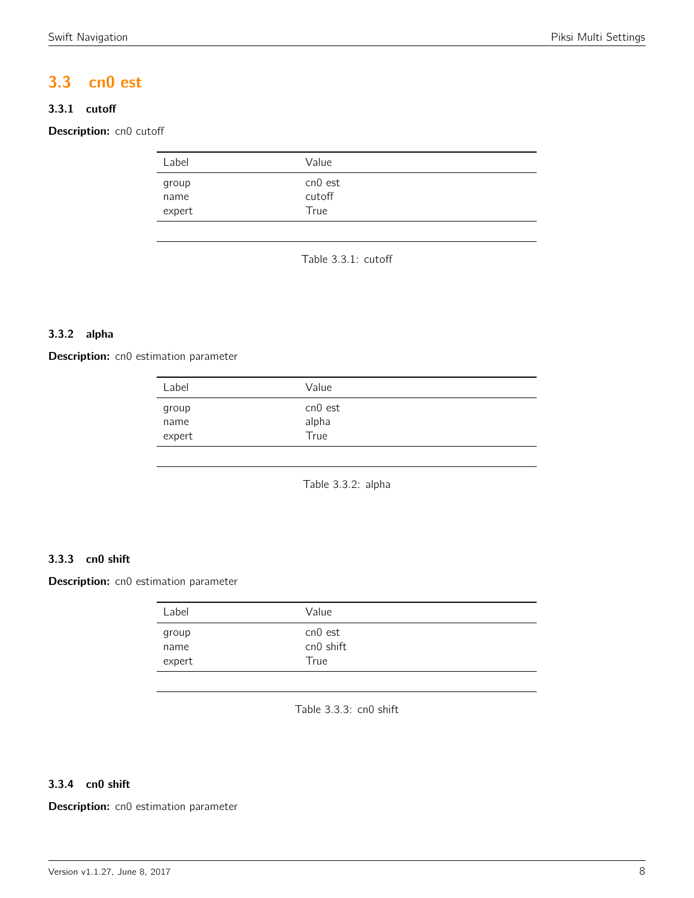## <span id="page-7-0"></span>3.3 cn0 est

### 3.3.1 cutoff

<span id="page-7-1"></span>Description: cn0 cutoff

| Label                   | Value                     |  |
|-------------------------|---------------------------|--|
| group<br>name<br>expert | cn0 est<br>cutoff<br>True |  |
|                         |                           |  |

Table 3.3.1: cutoff

### 3.3.2 alpha

<span id="page-7-2"></span>Description: cn0 estimation parameter

| Value                    |  |
|--------------------------|--|
| cn0 est<br>alpha<br>True |  |
|                          |  |

Table 3.3.2: alpha

### 3.3.3 cn0 shift

<span id="page-7-3"></span>Description: cn0 estimation parameter

| Label                   | Value                        |
|-------------------------|------------------------------|
| group<br>name<br>expert | cn0 est<br>cn0 shift<br>True |
|                         |                              |

Table 3.3.3: cn0 shift

### 3.3.4 cn0 shift

Description: cn0 estimation parameter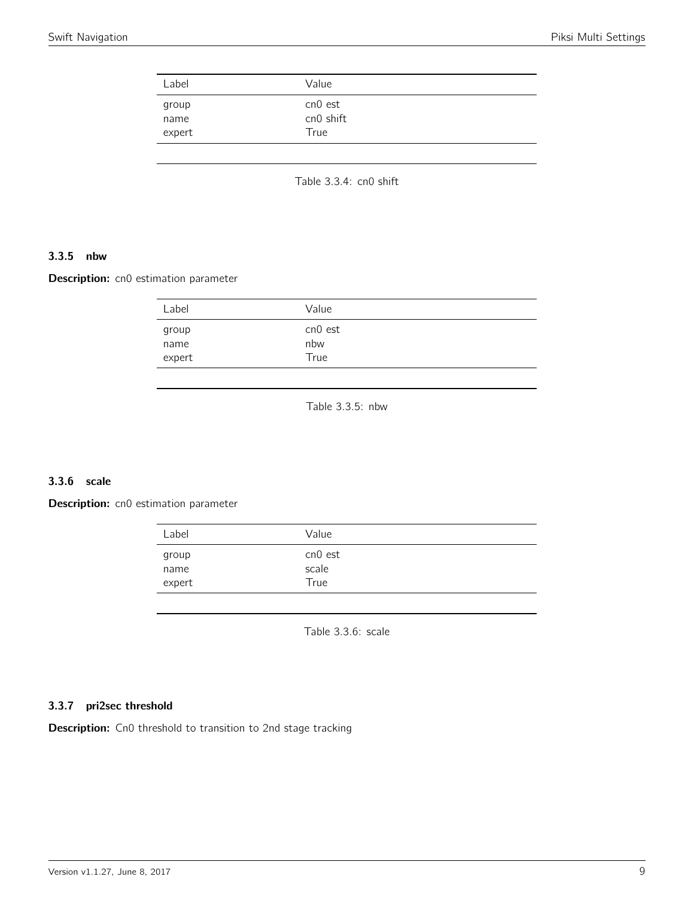<span id="page-8-0"></span>

| Label         | Value                |  |
|---------------|----------------------|--|
| group<br>name | cn0 est<br>cn0 shift |  |
| expert        | True                 |  |

Table 3.3.4: cn0 shift

### 3.3.5 nbw

<span id="page-8-1"></span>Description: cn0 estimation parameter

| Label                   | Value                  |  |
|-------------------------|------------------------|--|
| group<br>name<br>expert | cn0 est<br>nbw<br>True |  |
|                         |                        |  |

Table 3.3.5: nbw

### 3.3.6 scale

<span id="page-8-2"></span>Description: cn0 estimation parameter

| Label                   | Value                    |  |
|-------------------------|--------------------------|--|
| group<br>name<br>expert | cn0 est<br>scale<br>True |  |
|                         |                          |  |

Table 3.3.6: scale

### 3.3.7 pri2sec threshold

Description: Cn0 threshold to transition to 2nd stage tracking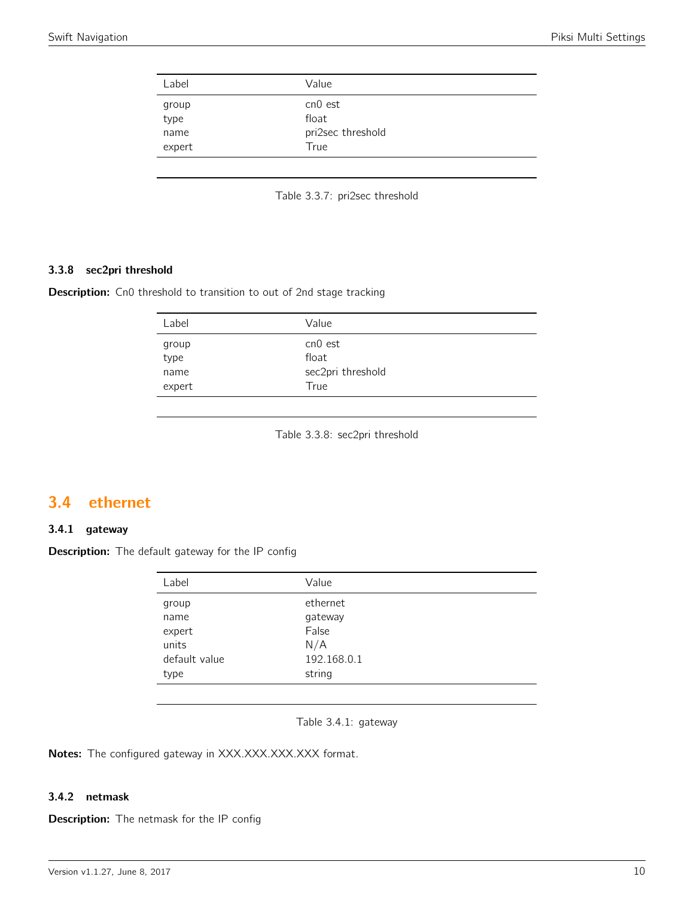<span id="page-9-0"></span>

| cn0 est<br>group<br>type<br>float<br>pri2sec threshold<br>name | Label  | Value |  |
|----------------------------------------------------------------|--------|-------|--|
|                                                                |        |       |  |
|                                                                |        |       |  |
|                                                                | expert | True  |  |

Table 3.3.7: pri2sec threshold

### 3.3.8 sec2pri threshold

**Description:** Cn0 threshold to transition to out of 2nd stage tracking

| Label  | Value             |  |
|--------|-------------------|--|
| group  | cn0 est           |  |
| type   | float             |  |
| name   | sec2pri threshold |  |
| expert | True              |  |

Table 3.3.8: sec2pri threshold

## <span id="page-9-1"></span>3.4 ethernet

### 3.4.1 gateway

<span id="page-9-2"></span>Description: The default gateway for the IP config

| Label         | Value       |
|---------------|-------------|
| group         | ethernet    |
| name          | gateway     |
| expert        | False       |
| units         | N/A         |
| default value | 192.168.0.1 |
| type          | string      |

Table 3.4.1: gateway

Notes: The configured gateway in XXX.XXX.XXX.XXX format.

### 3.4.2 netmask

Description: The netmask for the IP config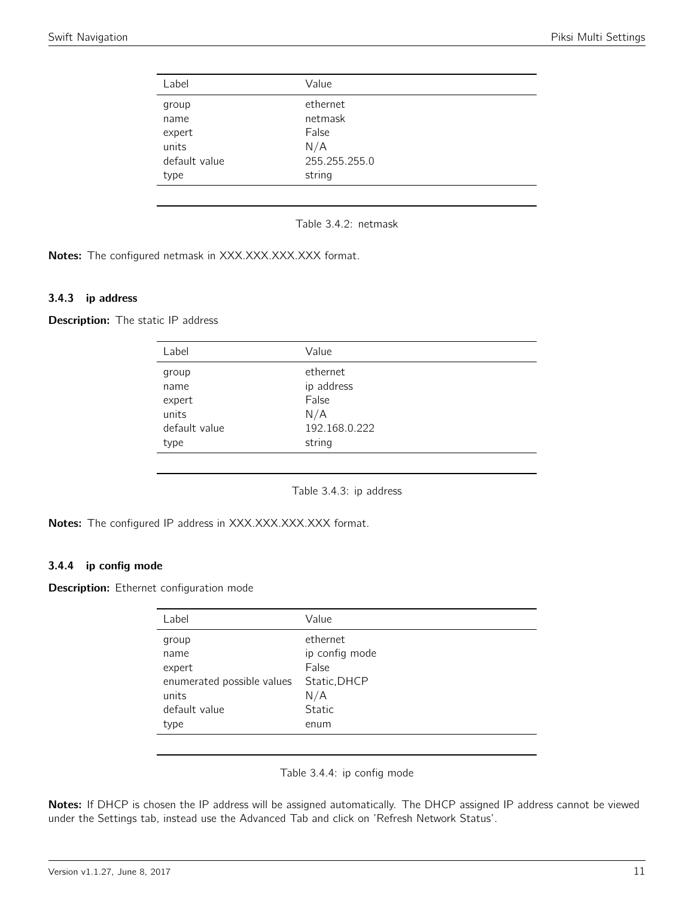<span id="page-10-0"></span>

| Label         | Value         |  |
|---------------|---------------|--|
| group         | ethernet      |  |
| name          | netmask       |  |
| expert        | False         |  |
| units         | N/A           |  |
| default value | 255.255.255.0 |  |
| type          | string        |  |
|               |               |  |

Table 3.4.2: netmask

Notes: The configured netmask in XXX.XXX.XXX.XXX format.

### 3.4.3 ip address

<span id="page-10-1"></span>Description: The static IP address

| Label         | Value         |  |
|---------------|---------------|--|
| group         | ethernet      |  |
| name          | ip address    |  |
| expert        | False         |  |
| units         | N/A           |  |
| default value | 192.168.0.222 |  |
| type          | string        |  |
|               |               |  |

Table 3.4.3: ip address

Notes: The configured IP address in XXX.XXX.XXX.XXX format.

#### 3.4.4 ip config mode

Description: Ethernet configuration mode

| Label                      | Value          |
|----------------------------|----------------|
| group                      | ethernet       |
| name                       | ip config mode |
| expert                     | False          |
| enumerated possible values | Static, DHCP   |
| units                      | N/A            |
| default value              | Static         |
| type                       | enum           |
|                            |                |

Table 3.4.4: ip config mode

Notes: If DHCP is chosen the IP address will be assigned automatically. The DHCP assigned IP address cannot be viewed under the Settings tab, instead use the Advanced Tab and click on 'Refresh Network Status'.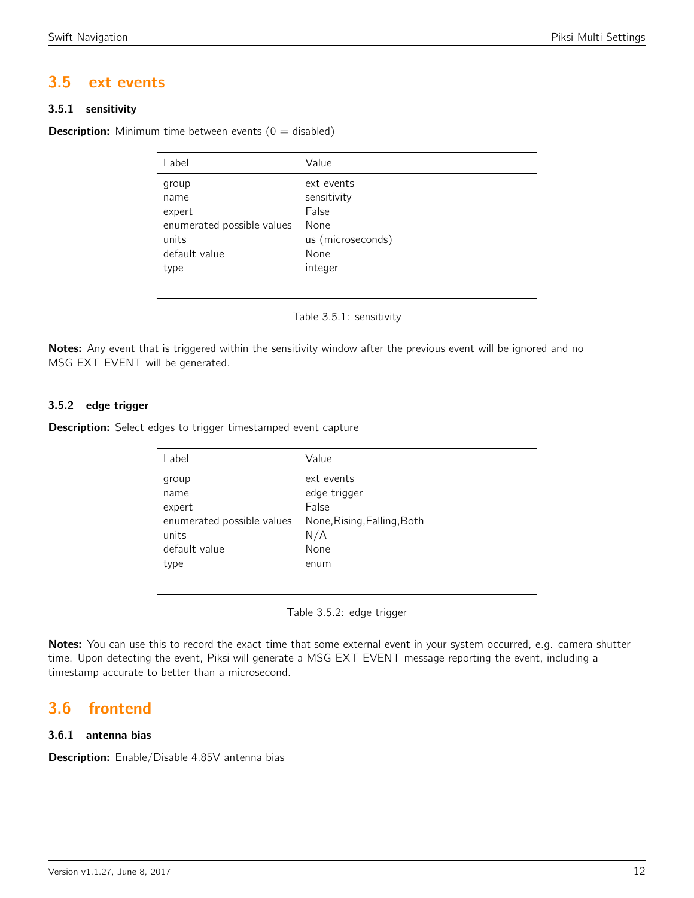## <span id="page-11-0"></span>3.5 ext events

### 3.5.1 sensitivity

<span id="page-11-1"></span>**Description:** Minimum time between events  $(0 = \text{disabeled})$ 

| Value             |
|-------------------|
| ext events        |
| sensitivity       |
| False             |
| None              |
| us (microseconds) |
| None              |
| integer           |
|                   |

Table 3.5.1: sensitivity

Notes: Any event that is triggered within the sensitivity window after the previous event will be ignored and no MSG EXT EVENT will be generated.

### 3.5.2 edge trigger

**Description:** Select edges to trigger timestamped event capture

| Label                      | Value                       |
|----------------------------|-----------------------------|
| group                      | ext events                  |
| name                       | edge trigger                |
| expert                     | False                       |
| enumerated possible values | None, Rising, Falling, Both |
| units                      | N/A                         |
| default value              | None                        |
| type                       | enum                        |
|                            |                             |

Table 3.5.2: edge trigger

Notes: You can use this to record the exact time that some external event in your system occurred, e.g. camera shutter time. Upon detecting the event, Piksi will generate a MSG EXT EVENT message reporting the event, including a timestamp accurate to better than a microsecond.

## <span id="page-11-2"></span>3.6 frontend

### 3.6.1 antenna bias

Description: Enable/Disable 4.85V antenna bias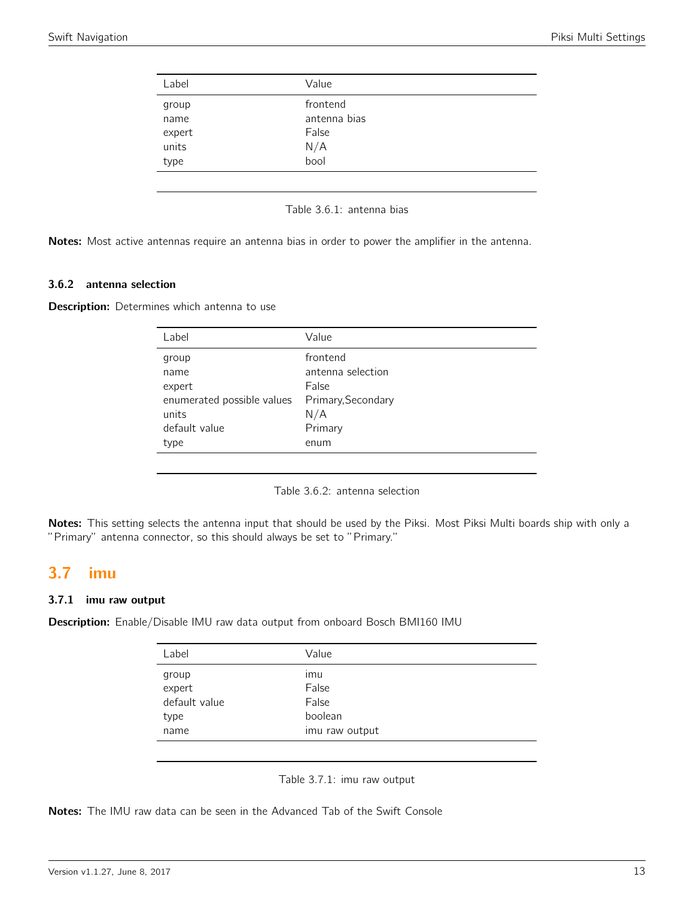<span id="page-12-0"></span>

| Label  | Value        |  |
|--------|--------------|--|
| group  | frontend     |  |
| name   | antenna bias |  |
| expert | False        |  |
| units  | N/A          |  |
| type   | bool         |  |

Notes: Most active antennas require an antenna bias in order to power the amplifier in the antenna.

#### 3.6.2 antenna selection

**Description:** Determines which antenna to use

| Label                      | Value              |
|----------------------------|--------------------|
| group                      | frontend           |
| name                       | antenna selection  |
| expert                     | False              |
| enumerated possible values | Primary, Secondary |
| units                      | N/A                |
| default value              | Primary            |
| type                       | enum               |
|                            |                    |

Table 3.6.2: antenna selection

Notes: This setting selects the antenna input that should be used by the Piksi. Most Piksi Multi boards ship with only a "Primary" antenna connector, so this should always be set to "Primary."

## <span id="page-12-1"></span>3.7 imu

### 3.7.1 imu raw output

<span id="page-12-2"></span>Description: Enable/Disable IMU raw data output from onboard Bosch BMI160 IMU

| Label         | Value          |
|---------------|----------------|
| group         | ımu            |
| expert        | False          |
| default value | False          |
| type          | boolean        |
| name          | imu raw output |

Table 3.7.1: imu raw output

Notes: The IMU raw data can be seen in the Advanced Tab of the Swift Console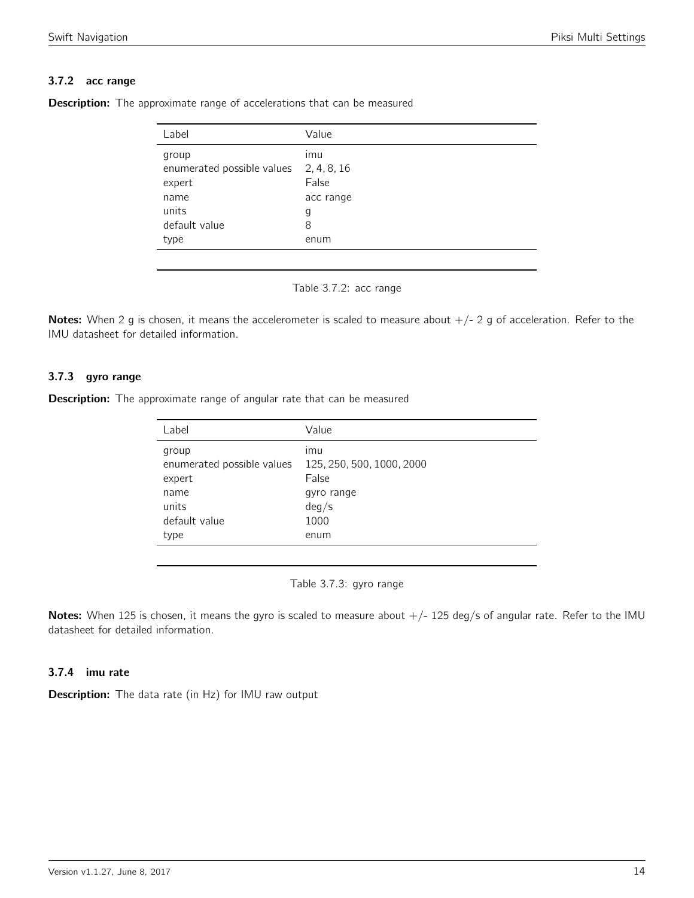### 3.7.2 acc range

| Label                      | Value       |
|----------------------------|-------------|
| group                      | imu         |
| enumerated possible values | 2, 4, 8, 16 |
| expert                     | False       |
| name                       | acc range   |
| units                      | g           |
| default value              | 8           |
| type                       | enum        |

<span id="page-13-0"></span>**Description:** The approximate range of accelerations that can be measured



Notes: When 2 g is chosen, it means the accelerometer is scaled to measure about  $+/- 2$  g of acceleration. Refer to the IMU datasheet for detailed information.

### 3.7.3 gyro range

<span id="page-13-1"></span>**Description:** The approximate range of angular rate that can be measured

| Label                      | Value                     |
|----------------------------|---------------------------|
| group                      | imu                       |
| enumerated possible values | 125, 250, 500, 1000, 2000 |
| expert                     | False                     |
| name                       | gyro range                |
| units                      | deg/s                     |
| default value              | 1000                      |
| type                       | enum                      |

Table 3.7.3: gyro range

Notes: When 125 is chosen, it means the gyro is scaled to measure about  $+/-$  125 deg/s of angular rate. Refer to the IMU datasheet for detailed information.

### 3.7.4 imu rate

**Description:** The data rate (in Hz) for IMU raw output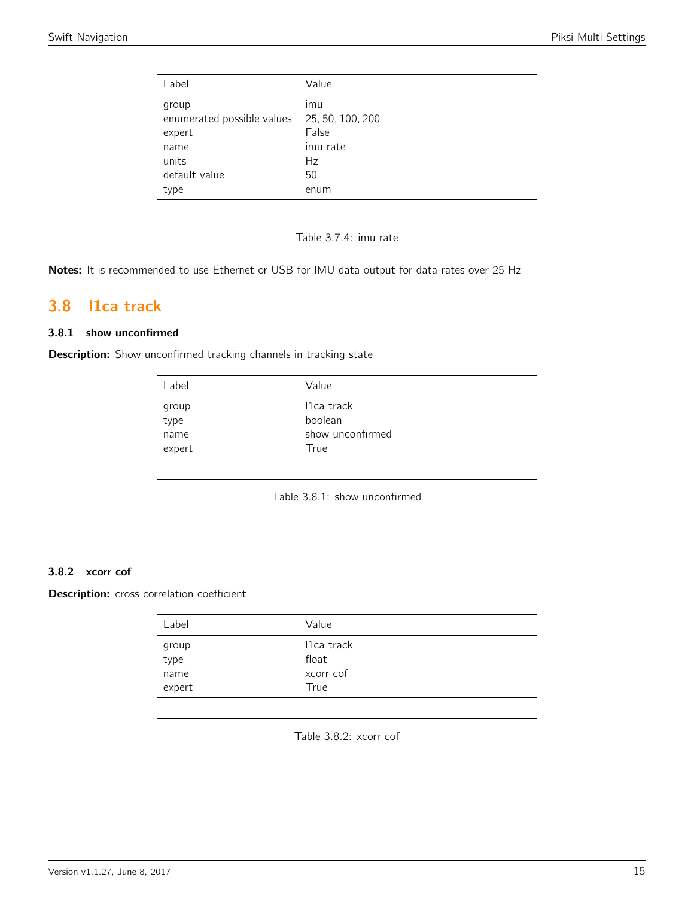| Label                      | Value            |
|----------------------------|------------------|
| group                      | imu              |
| enumerated possible values | 25, 50, 100, 200 |
| expert                     | False            |
| name                       | imu rate         |
| units                      | Hz               |
| default value              | 50               |
| type                       | enum             |

Table 3.7.4: imu rate

Notes: It is recommended to use Ethernet or USB for IMU data output for data rates over 25 Hz

## <span id="page-14-0"></span>3.8 l1ca track

### 3.8.1 show unconfirmed

<span id="page-14-1"></span>Description: Show unconfirmed tracking channels in tracking state

| Label         | Value                 |
|---------------|-----------------------|
| group<br>type | 11ca track<br>boolean |
| name          | show unconfirmed      |
| expert        | True                  |

Table 3.8.1: show unconfirmed

### 3.8.2 xcorr cof

<span id="page-14-2"></span>Description: cross correlation coefficient

| Label          | Value               |  |
|----------------|---------------------|--|
| group<br>type  | I1ca track<br>float |  |
| name<br>expert | xcorr cof<br>True   |  |

Table 3.8.2: xcorr cof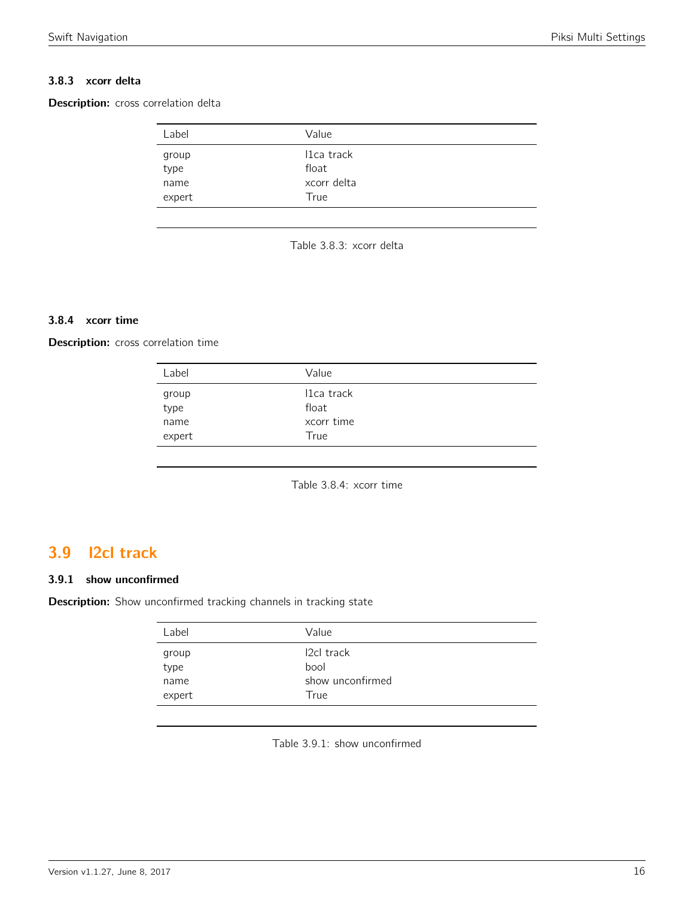### 3.8.3 xcorr delta

<span id="page-15-0"></span>Description: cross correlation delta

| Label          | Value               |  |
|----------------|---------------------|--|
| group<br>type  | I1ca track<br>float |  |
| name<br>expert | xcorr delta<br>True |  |

Table 3.8.3: xcorr delta

### 3.8.4 xcorr time

Description: cross correlation time

| Label         | Value               |  |
|---------------|---------------------|--|
| group<br>type | I1ca track<br>float |  |
| name          | xcorr time          |  |
| expert        | True                |  |

Table 3.8.4: xcorr time

## <span id="page-15-1"></span>3.9 l2cl track

### 3.9.1 show unconfirmed

<span id="page-15-2"></span>Description: Show unconfirmed tracking channels in tracking state

| Label         | Value                    |  |
|---------------|--------------------------|--|
| group<br>type | <b>2cl track</b>         |  |
| name          | bool<br>show unconfirmed |  |
| expert        | True                     |  |

Table 3.9.1: show unconfirmed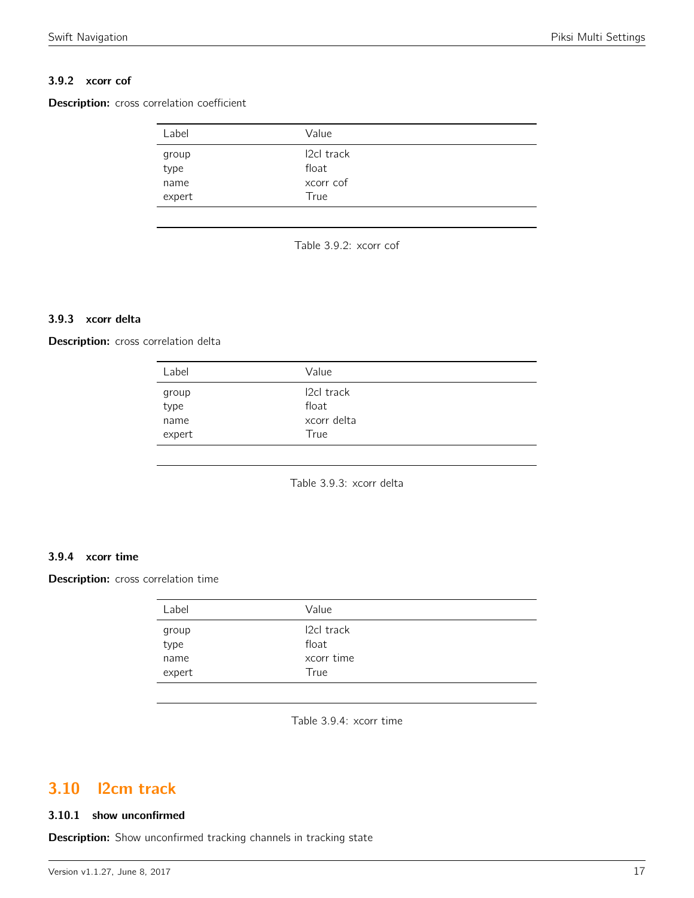### 3.9.2 xcorr cof

<span id="page-16-0"></span>Description: cross correlation coefficient

| Label          | Value               |  |
|----------------|---------------------|--|
| group<br>type  | 12cl track<br>float |  |
| name<br>expert | xcorr cof<br>True   |  |

Table 3.9.2: xcorr cof

### 3.9.3 xcorr delta

<span id="page-16-1"></span>Description: cross correlation delta

| Label         | Value                     |  |
|---------------|---------------------------|--|
| group<br>type | <b>2cl track</b><br>float |  |
| name          | xcorr delta               |  |
| expert        | True                      |  |
|               |                           |  |

Table 3.9.3: xcorr delta

### 3.9.4 xcorr time

Description: cross correlation time

| Label  | Value            |
|--------|------------------|
| group  | <b>2cl track</b> |
| type   | float            |
| name   | xcorr time       |
| expert | True             |

Table 3.9.4: xcorr time

## <span id="page-16-2"></span>3.10 l2cm track

#### 3.10.1 show unconfirmed

Description: Show unconfirmed tracking channels in tracking state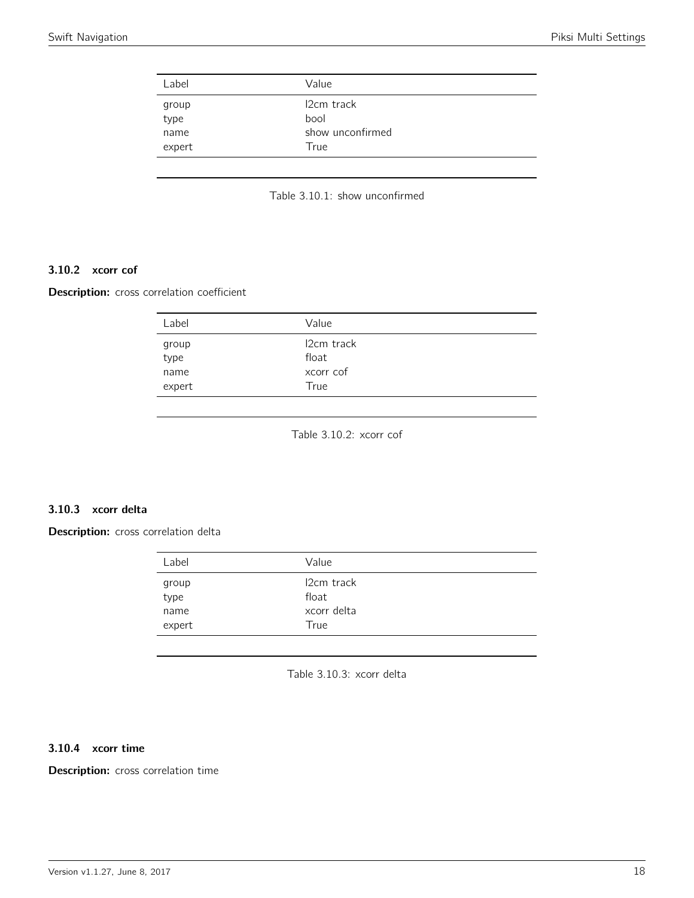<span id="page-17-0"></span>

| Label         | Value                           |
|---------------|---------------------------------|
| group<br>type | I <sub>2</sub> cm track<br>bool |
| name          | show unconfirmed                |
| expert        | True                            |

Table 3.10.1: show unconfirmed

### 3.10.2 xcorr cof

<span id="page-17-1"></span>Description: cross correlation coefficient

| Label          | Value                            |  |
|----------------|----------------------------------|--|
| group<br>type  | I <sub>2</sub> cm track<br>float |  |
| name<br>expert | xcorr cof<br>True                |  |

Table 3.10.2: xcorr cof

#### 3.10.3 xcorr delta

<span id="page-17-2"></span>Description: cross correlation delta

| Label  | Value       |
|--------|-------------|
| group  | 12cm track  |
| type   | float       |
| name   | xcorr delta |
| expert | True        |

Table 3.10.3: xcorr delta

### 3.10.4 xcorr time

Description: cross correlation time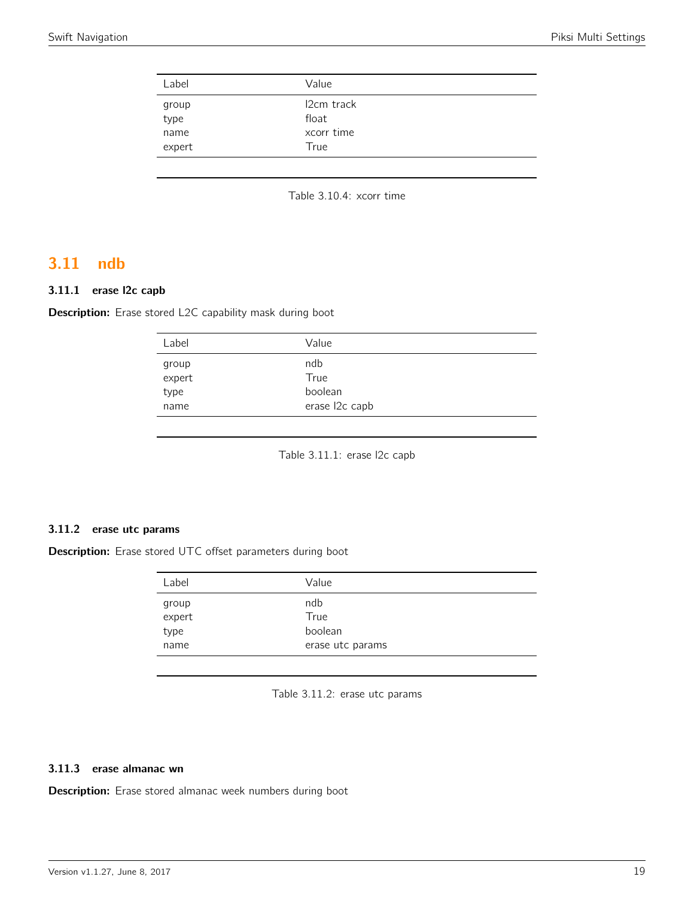| Label         | Value                            |  |
|---------------|----------------------------------|--|
| group<br>type | I <sub>2</sub> cm track<br>float |  |
| name          | xcorr time                       |  |
| expert        | True                             |  |

Table 3.10.4: xcorr time

## <span id="page-18-0"></span>3.11 ndb

### 3.11.1 erase l2c capb

<span id="page-18-1"></span>Description: Erase stored L2C capability mask during boot

| ndb<br>group<br>$ex$ pert<br>True<br>boolean<br>type | Label | Value          |  |
|------------------------------------------------------|-------|----------------|--|
|                                                      |       |                |  |
| name                                                 |       | erase l2c capb |  |

Table 3.11.1: erase l2c capb

#### 3.11.2 erase utc params

<span id="page-18-2"></span>Description: Erase stored UTC offset parameters during boot

| ndb<br>group<br>expert<br>True<br>boolean<br>type | Label | Value            |
|---------------------------------------------------|-------|------------------|
|                                                   | name  | erase utc params |

Table 3.11.2: erase utc params

### 3.11.3 erase almanac wn

Description: Erase stored almanac week numbers during boot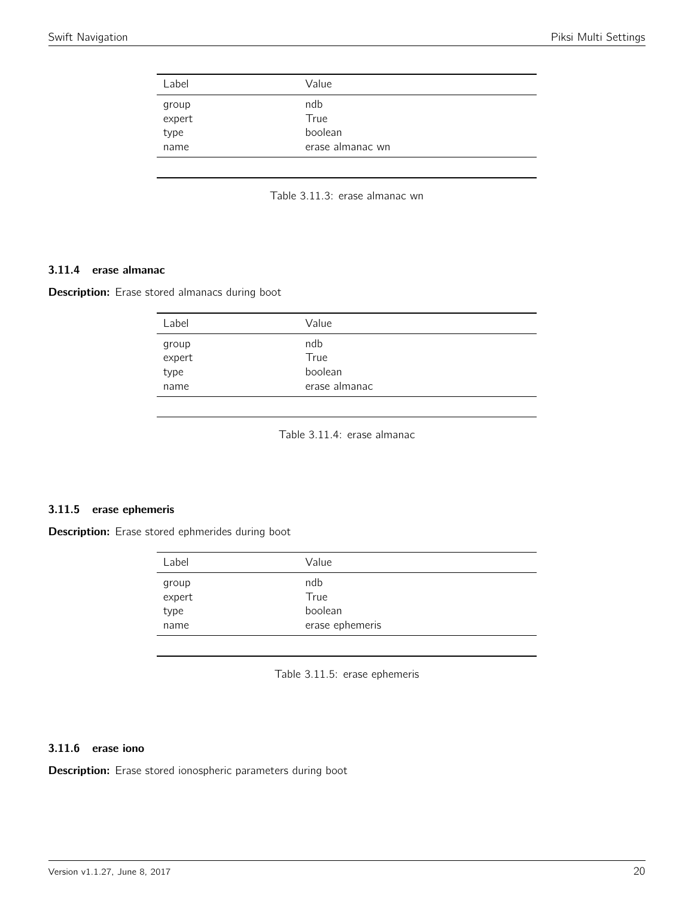<span id="page-19-0"></span>

| Label           | Value            |  |
|-----------------|------------------|--|
| group<br>expert | ndb<br>True      |  |
| type            | boolean          |  |
| name            | erase almanac wn |  |

Table 3.11.3: erase almanac wn

#### 3.11.4 erase almanac

<span id="page-19-1"></span>Description: Erase stored almanacs during boot

| Label                                | Value                                   |  |
|--------------------------------------|-----------------------------------------|--|
| group<br>expert<br>.<br>type<br>name | ndb<br>True<br>boolean<br>erase almanac |  |
|                                      |                                         |  |

Table 3.11.4: erase almanac

#### 3.11.5 erase ephemeris

<span id="page-19-2"></span>Description: Erase stored ephmerides during boot

| Label  | Value           |
|--------|-----------------|
| group  | ndb             |
| expert | True            |
| type   | boolean         |
| name   | erase ephemeris |

Table 3.11.5: erase ephemeris

### 3.11.6 erase iono

Description: Erase stored ionospheric parameters during boot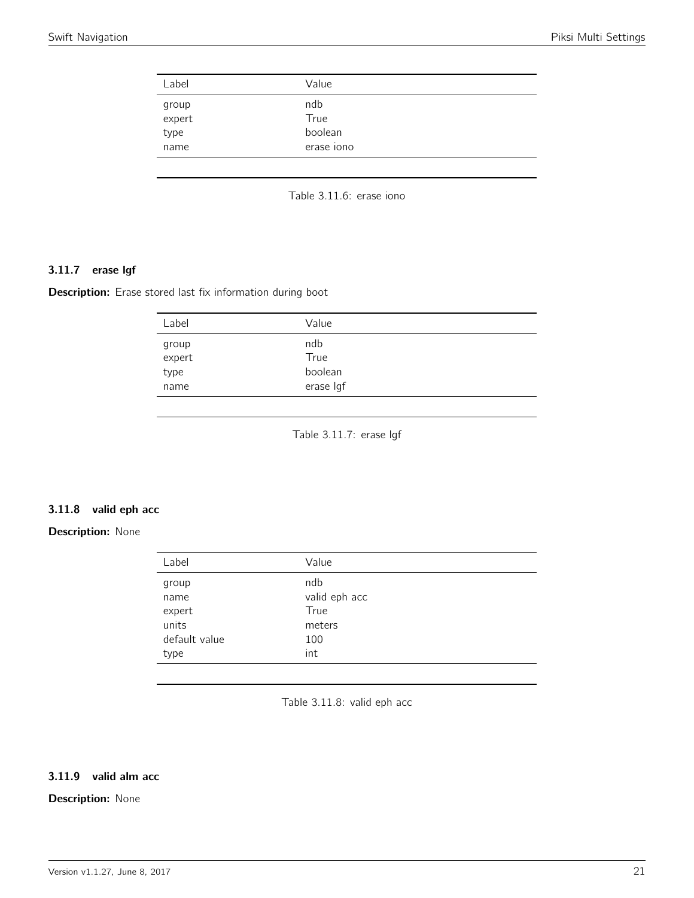<span id="page-20-0"></span>

| Label           | Value      |  |
|-----------------|------------|--|
|                 | ndb        |  |
| group<br>expert | True       |  |
| type            | boolean    |  |
| name            | erase iono |  |

Table 3.11.6: erase iono

### 3.11.7 erase lgf

<span id="page-20-1"></span>Description: Erase stored last fix information during boot

| ndb<br>group<br>expert<br>True<br>type<br>boolean<br>erase Igf<br>name |  |
|------------------------------------------------------------------------|--|

Table 3.11.7: erase lgf

#### 3.11.8 valid eph acc

### <span id="page-20-2"></span>Description: None

| Label         | Value         |
|---------------|---------------|
| group         | ndb           |
| name          | valid eph acc |
| expert        | True          |
| units         | meters        |
| default value | 100           |
| type          | int           |

Table 3.11.8: valid eph acc

### 3.11.9 valid alm acc

### Description: None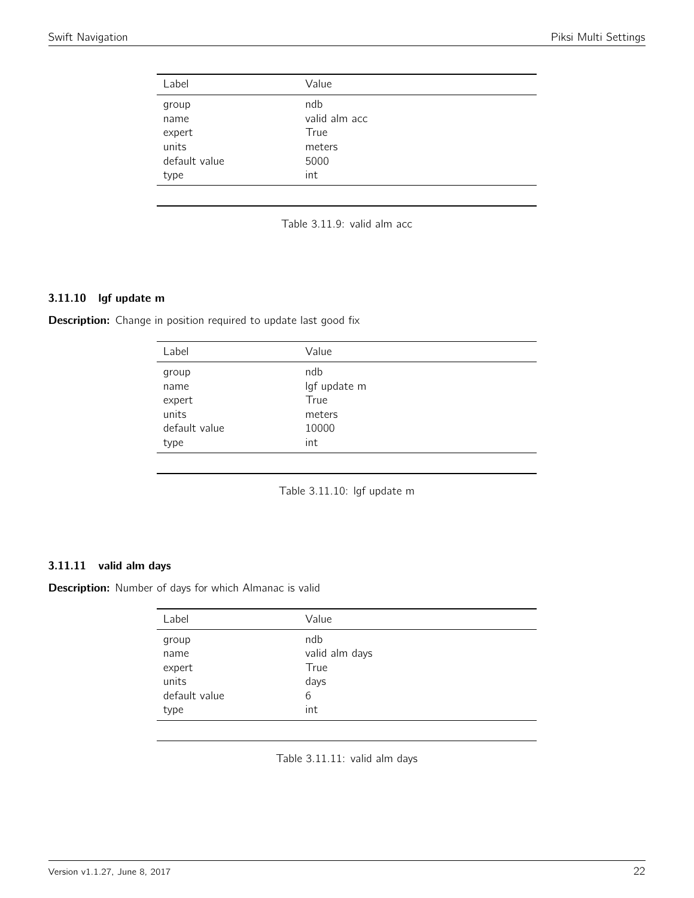<span id="page-21-0"></span>

| Label         | Value         |
|---------------|---------------|
| group         | ndb           |
| name          | valid alm acc |
| expert        | True          |
| units         | meters        |
| default value | 5000          |
| type          | int           |
|               |               |



### 3.11.10 lgf update m

<span id="page-21-1"></span>Description: Change in position required to update last good fix

| Label         | Value        |
|---------------|--------------|
| group         | ndb          |
| name          | lgf update m |
| expert        | True         |
| units         | meters       |
| default value | 10000        |
| type          | int          |
|               |              |

Table 3.11.10: lgf update m

#### 3.11.11 valid alm days

<span id="page-21-2"></span>Description: Number of days for which Almanac is valid

| Label         | Value          |
|---------------|----------------|
| group         | ndb            |
| name          | valid alm days |
| expert        | True           |
| units         | days           |
| default value | 6              |
| type          | int            |
|               |                |

Table 3.11.11: valid alm days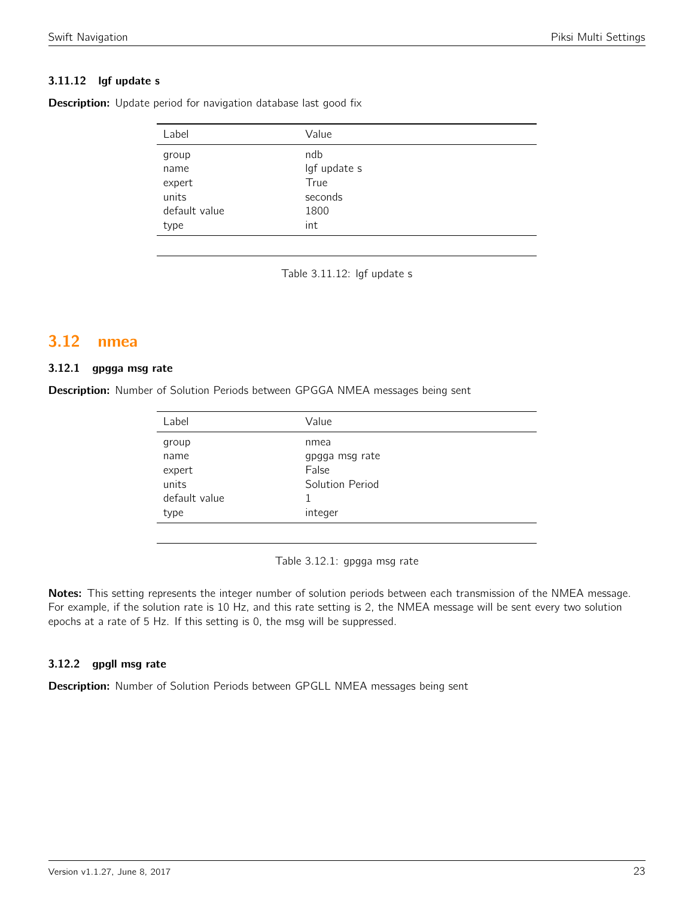### 3.11.12 lgf update s

**Description:** Update period for navigation database last good fix

| Label         | Value        |
|---------------|--------------|
| group         | ndb          |
| name          | lgf update s |
| expert        | True         |
| units         | seconds      |
| default value | 1800         |
| type          | int          |
|               |              |

Table 3.11.12: lgf update s

## <span id="page-22-0"></span>3.12 nmea

#### 3.12.1 gpgga msg rate

<span id="page-22-1"></span>Description: Number of Solution Periods between GPGGA NMEA messages being sent

| Label         | Value           |
|---------------|-----------------|
| group         | nmea            |
| name          | gpgga msg rate  |
| expert        | False           |
| units         | Solution Period |
| default value |                 |
| type          | integer         |

Table 3.12.1: gpgga msg rate

Notes: This setting represents the integer number of solution periods between each transmission of the NMEA message. For example, if the solution rate is 10 Hz, and this rate setting is 2, the NMEA message will be sent every two solution epochs at a rate of 5 Hz. If this setting is 0, the msg will be suppressed.

### 3.12.2 gpgll msg rate

Description: Number of Solution Periods between GPGLL NMEA messages being sent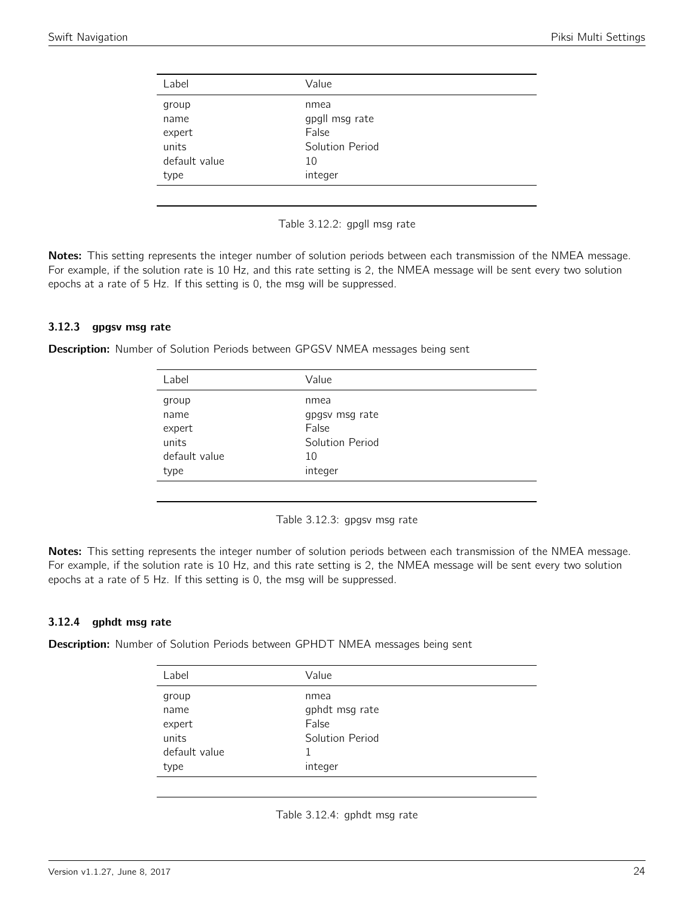<span id="page-23-0"></span>

| Label         | Value           |
|---------------|-----------------|
| group         | nmea            |
| name          | gpgll msg rate  |
| expert        | False           |
| units         | Solution Period |
| default value | 10              |
| type          | integer         |
|               |                 |

Table 3.12.2: gpgll msg rate

Notes: This setting represents the integer number of solution periods between each transmission of the NMEA message. For example, if the solution rate is 10 Hz, and this rate setting is 2, the NMEA message will be sent every two solution epochs at a rate of 5 Hz. If this setting is 0, the msg will be suppressed.

### 3.12.3 gpgsv msg rate

<span id="page-23-1"></span>Description: Number of Solution Periods between GPGSV NMEA messages being sent

| Label         | Value           |
|---------------|-----------------|
| group         | nmea            |
| name          | gpgsv msg rate  |
| expert        | False           |
| units         | Solution Period |
| default value | 10              |
| type          | integer         |
|               |                 |

Table 3.12.3: gpgsv msg rate

Notes: This setting represents the integer number of solution periods between each transmission of the NMEA message. For example, if the solution rate is 10 Hz, and this rate setting is 2, the NMEA message will be sent every two solution epochs at a rate of 5 Hz. If this setting is 0, the msg will be suppressed.

### 3.12.4 gphdt msg rate

<span id="page-23-2"></span>**Description:** Number of Solution Periods between GPHDT NMEA messages being sent

| Label         | Value           |
|---------------|-----------------|
| group         | nmea            |
| name          | gphdt msg rate  |
| expert        | False           |
| units         | Solution Period |
| default value |                 |
| type          | integer         |

Table 3.12.4: gphdt msg rate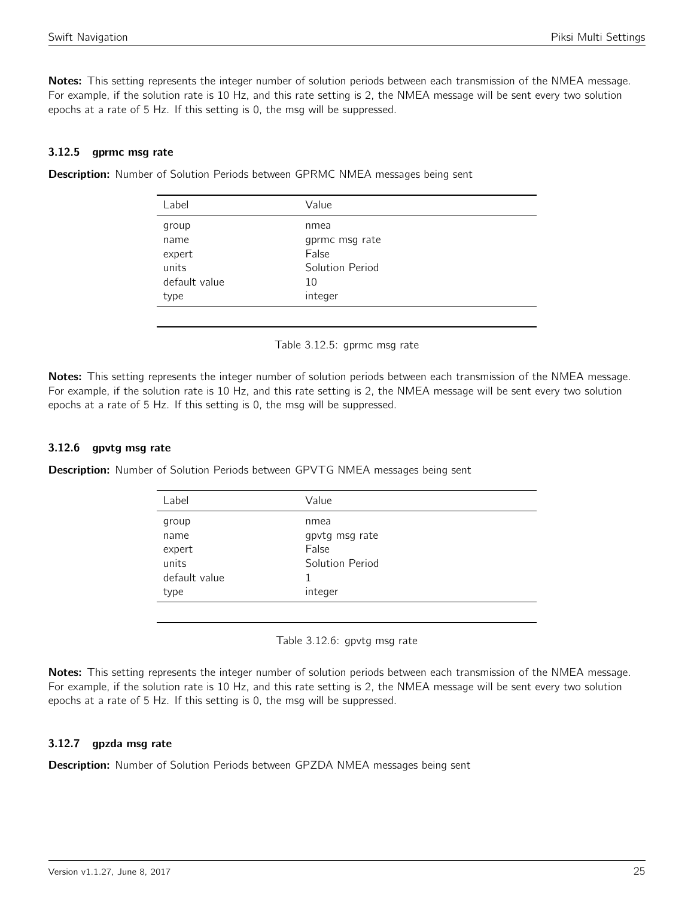Notes: This setting represents the integer number of solution periods between each transmission of the NMEA message. For example, if the solution rate is 10 Hz, and this rate setting is 2, the NMEA message will be sent every two solution epochs at a rate of 5 Hz. If this setting is 0, the msg will be suppressed.

### 3.12.5 gprmc msg rate

<span id="page-24-0"></span>

| Description: Number of Solution Periods between GPRMC NMEA messages being sent |  |  |  |  |  |
|--------------------------------------------------------------------------------|--|--|--|--|--|
|                                                                                |  |  |  |  |  |

| Label         | Value           |  |
|---------------|-----------------|--|
| group         | nmea            |  |
| name          | gprmc msg rate  |  |
| expert        | False           |  |
| units         | Solution Period |  |
| default value | 10              |  |
| type          | integer         |  |
|               |                 |  |

Table 3.12.5: gprmc msg rate

Notes: This setting represents the integer number of solution periods between each transmission of the NMEA message. For example, if the solution rate is 10 Hz, and this rate setting is 2, the NMEA message will be sent every two solution epochs at a rate of 5 Hz. If this setting is 0, the msg will be suppressed.

### 3.12.6 gpvtg msg rate

<span id="page-24-1"></span>**Description:** Number of Solution Periods between GPVTG NMEA messages being sent

| Label         | Value           |
|---------------|-----------------|
| group         | nmea            |
| name          | gpvtg msg rate  |
| expert        | False           |
| units         | Solution Period |
| default value | 1               |
| type          | integer         |
|               |                 |

Table 3.12.6: gpvtg msg rate

Notes: This setting represents the integer number of solution periods between each transmission of the NMEA message. For example, if the solution rate is 10 Hz, and this rate setting is 2, the NMEA message will be sent every two solution epochs at a rate of 5 Hz. If this setting is 0, the msg will be suppressed.

### 3.12.7 gpzda msg rate

Description: Number of Solution Periods between GPZDA NMEA messages being sent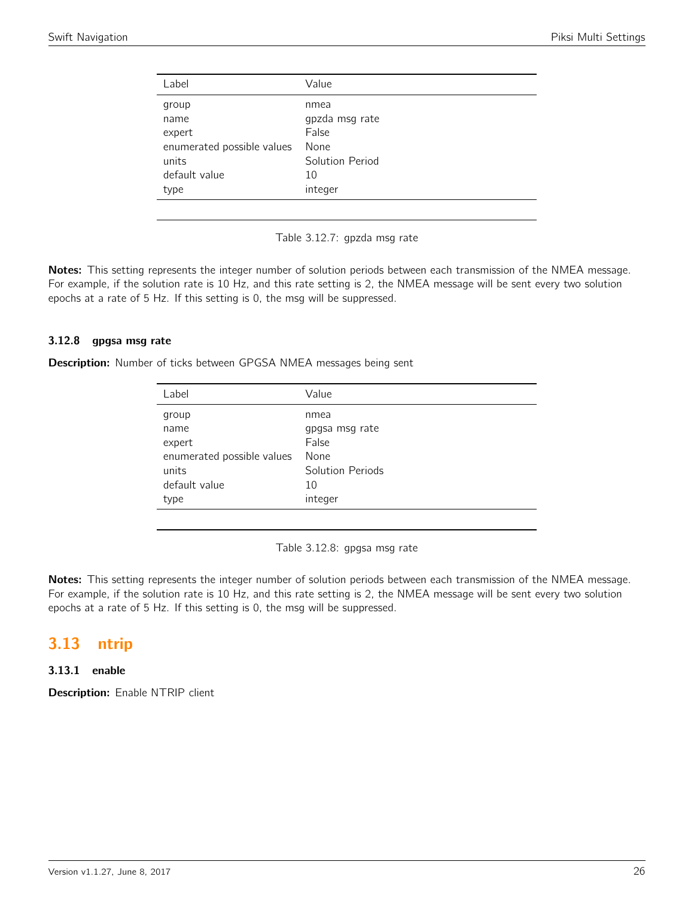<span id="page-25-0"></span>

| Label                      | Value           |
|----------------------------|-----------------|
| group                      | nmea            |
| name                       | gpzda msg rate  |
| expert                     | False           |
| enumerated possible values | None            |
| units                      | Solution Period |
| default value              | 10              |
| type                       | integer         |
|                            |                 |



Notes: This setting represents the integer number of solution periods between each transmission of the NMEA message. For example, if the solution rate is 10 Hz, and this rate setting is 2, the NMEA message will be sent every two solution epochs at a rate of 5 Hz. If this setting is 0, the msg will be suppressed.

### 3.12.8 gpgsa msg rate

Description: Number of ticks between GPGSA NMEA messages being sent

| Label                      | Value            |
|----------------------------|------------------|
| group                      | nmea             |
| name                       | gpgsa msg rate   |
| expert                     | False            |
| enumerated possible values | None             |
| units                      | Solution Periods |
| default value              | 10               |
| type                       | integer          |
|                            |                  |

Table 3.12.8: gpgsa msg rate

Notes: This setting represents the integer number of solution periods between each transmission of the NMEA message. For example, if the solution rate is 10 Hz, and this rate setting is 2, the NMEA message will be sent every two solution epochs at a rate of 5 Hz. If this setting is 0, the msg will be suppressed.

## <span id="page-25-1"></span>3.13 ntrip

### 3.13.1 enable

Description: Enable NTRIP client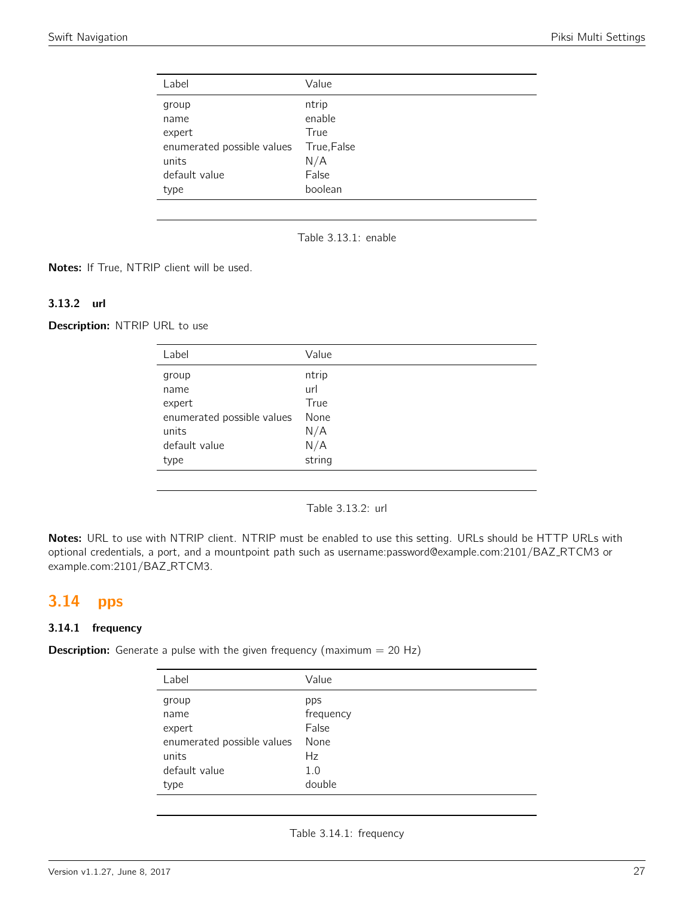<span id="page-26-0"></span>

| Label                      | Value       |
|----------------------------|-------------|
| group                      | ntrip       |
| name                       | enable      |
| expert                     | True        |
| enumerated possible values | True, False |
| units                      | N/A         |
| default value              | False       |
| type                       | boolean     |

Table 3.13.1: enable

Notes: If True, NTRIP client will be used.

#### 3.13.2 url

Description: NTRIP URL to use

| Label                      | Value  |
|----------------------------|--------|
| group                      | ntrip  |
| name                       | url    |
| expert                     | True   |
| enumerated possible values | None   |
| units                      | N/A    |
| default value              | N/A    |
| type                       | string |
|                            |        |

Table 3.13.2: url

Notes: URL to use with NTRIP client. NTRIP must be enabled to use this setting. URLs should be HTTP URLs with optional credentials, a port, and a mountpoint path such as username:password@example.com:2101/BAZ RTCM3 or example.com:2101/BAZ\_RTCM3.

## <span id="page-26-1"></span>3.14 pps

### 3.14.1 frequency

<span id="page-26-2"></span>**Description:** Generate a pulse with the given frequency (maximum  $= 20$  Hz)

| Label                      | Value     |
|----------------------------|-----------|
| group                      | pps       |
| name                       | frequency |
| expert                     | False     |
| enumerated possible values | None      |
| units                      | Hz        |
| default value              | 1.0       |
| type                       | double    |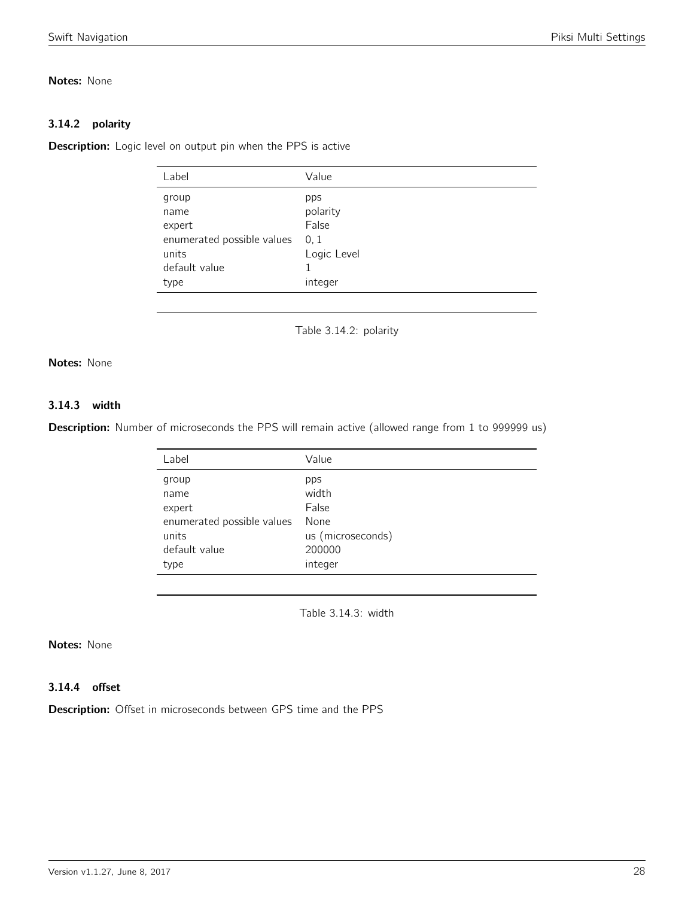### Notes: None

### 3.14.2 polarity

<span id="page-27-0"></span>**Description:** Logic level on output pin when the PPS is active

| Label                      | Value       |
|----------------------------|-------------|
| group                      | pps         |
| name                       | polarity    |
| expert                     | False       |
| enumerated possible values | 0, 1        |
| units                      | Logic Level |
| default value              |             |
| type                       | integer     |
|                            |             |

Table 3.14.2: polarity

### Notes: None

### 3.14.3 width

<span id="page-27-1"></span>Description: Number of microseconds the PPS will remain active (allowed range from 1 to 999999 us)

| Label                      | Value             |
|----------------------------|-------------------|
| group                      | pps               |
| name                       | width             |
| expert                     | False             |
| enumerated possible values | None              |
| units                      | us (microseconds) |
| default value              | 200000            |
| type                       | integer           |

Table 3.14.3: width

### Notes: None

### 3.14.4 offset

Description: Offset in microseconds between GPS time and the PPS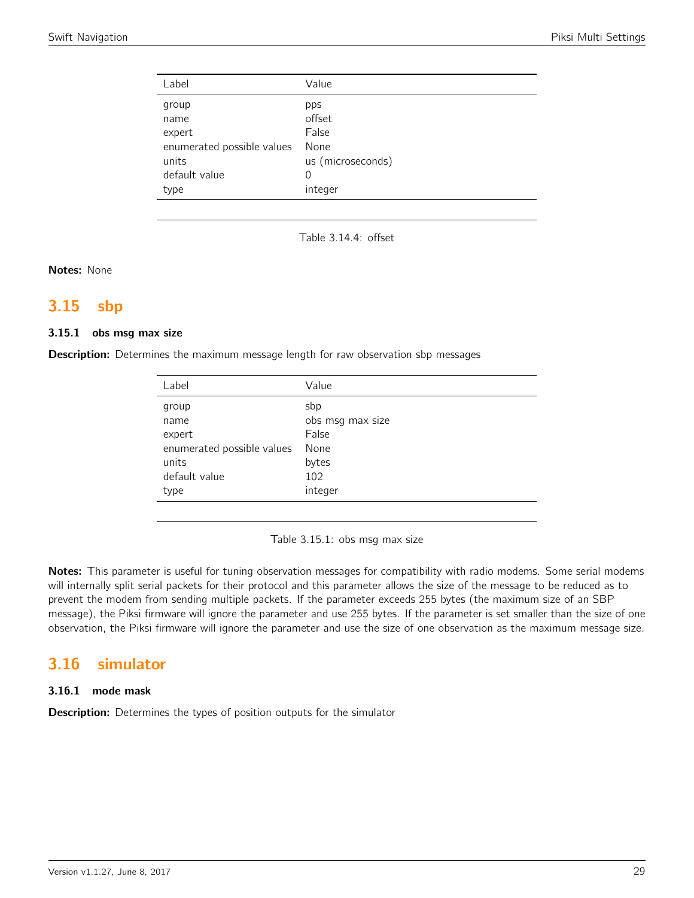| Label                      | Value             |
|----------------------------|-------------------|
| group                      | pps               |
| name                       | offset            |
| expert                     | False             |
| enumerated possible values | None              |
| units                      | us (microseconds) |
| default value              | 0                 |
| type                       | integer           |
|                            |                   |

Table 3.14.4: offset

Notes: None

## <span id="page-28-0"></span>3.15 sbp

#### 3.15.1 obs msg max size

**Description:** Determines the maximum message length for raw observation sbp messages

| Label                      | Value            |
|----------------------------|------------------|
| group                      | sbp              |
| name                       | obs msg max size |
| expert                     | False            |
| enumerated possible values | None             |
| units                      | bytes            |
| default value              | 102              |
| type                       | integer          |
|                            |                  |

Table 3.15.1: obs msg max size

Notes: This parameter is useful for tuning observation messages for compatibility with radio modems. Some serial modems will internally split serial packets for their protocol and this parameter allows the size of the message to be reduced as to prevent the modem from sending multiple packets. If the parameter exceeds 255 bytes (the maximum size of an SBP message), the Piksi firmware will ignore the parameter and use 255 bytes. If the parameter is set smaller than the size of one observation, the Piksi firmware will ignore the parameter and use the size of one observation as the maximum message size.

## <span id="page-28-1"></span>3.16 simulator

### 3.16.1 mode mask

**Description:** Determines the types of position outputs for the simulator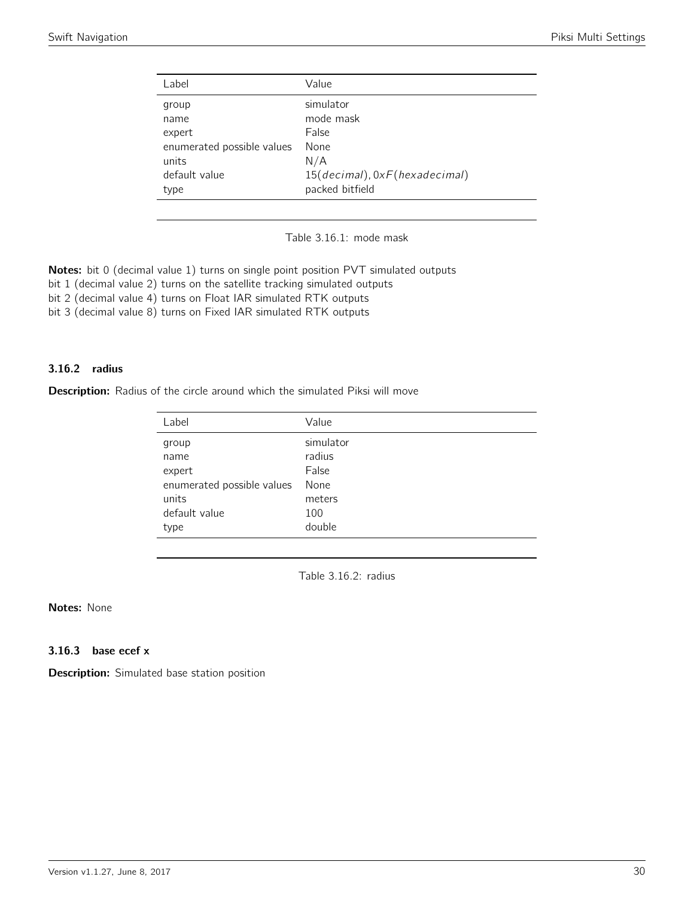<span id="page-29-0"></span>

| Label                      | Value                         |
|----------------------------|-------------------------------|
| group                      | simulator                     |
| name                       | mode mask                     |
| expert                     | False                         |
| enumerated possible values | None                          |
| units                      | N/A                           |
| default value              | 15(decimal), 0xF(hexadecimal) |
| type                       | packed bitfield               |
|                            |                               |

Table 3.16.1: mode mask

Notes: bit 0 (decimal value 1) turns on single point position PVT simulated outputs

bit 1 (decimal value 2) turns on the satellite tracking simulated outputs

bit 2 (decimal value 4) turns on Float IAR simulated RTK outputs

bit 3 (decimal value 8) turns on Fixed IAR simulated RTK outputs

### 3.16.2 radius

<span id="page-29-1"></span>Description: Radius of the circle around which the simulated Piksi will move

| Label                      | Value     |
|----------------------------|-----------|
| group                      | simulator |
| name                       | radius    |
| expert                     | False     |
| enumerated possible values | None      |
| units                      | meters    |
| default value              | 100       |
| type                       | double    |

Table 3.16.2: radius

### Notes: None

### 3.16.3 base ecef x

Description: Simulated base station position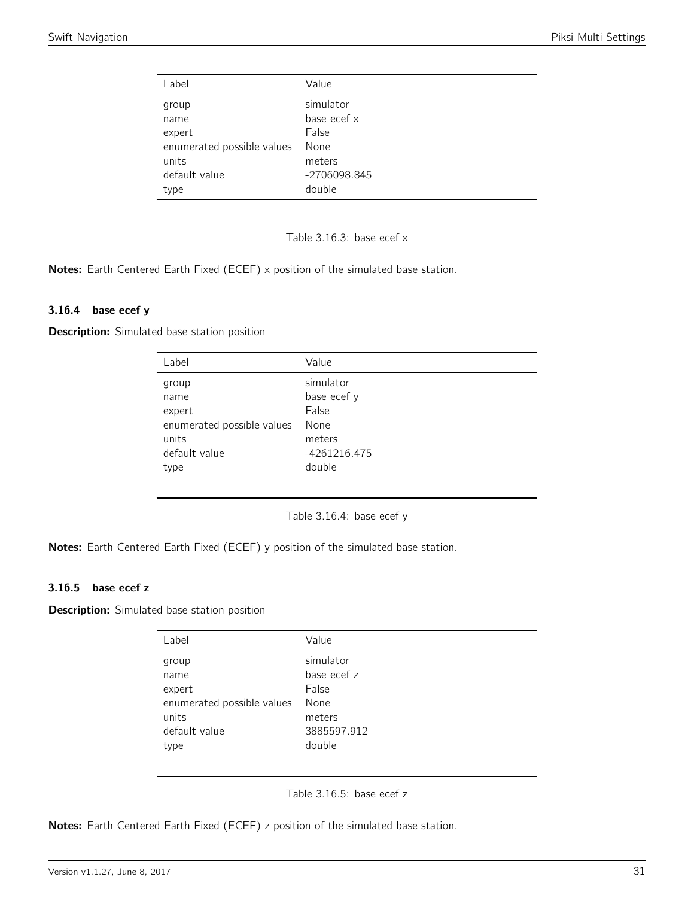<span id="page-30-0"></span>

| Label                      | Value        |
|----------------------------|--------------|
| group                      | simulator    |
| name                       | base ecef x  |
| expert                     | False        |
| enumerated possible values | None         |
| units                      | meters       |
| default value              | -2706098.845 |
| type                       | double       |
|                            |              |

Table 3.16.3: base ecef x

Notes: Earth Centered Earth Fixed (ECEF) x position of the simulated base station.

#### 3.16.4 base ecef y

<span id="page-30-1"></span>**Description:** Simulated base station position

| Label                      | Value        |
|----------------------------|--------------|
| group                      | simulator    |
| name                       | base ecef y  |
| expert                     | False        |
| enumerated possible values | None         |
| units                      | meters       |
| default value              | -4261216.475 |
| type                       | double       |
|                            |              |

Table 3.16.4: base ecef y

Notes: Earth Centered Earth Fixed (ECEF) y position of the simulated base station.

### 3.16.5 base ecef z

<span id="page-30-2"></span>**Description:** Simulated base station position

| Label                      | Value       |
|----------------------------|-------------|
| group                      | simulator   |
| name                       | base ecef z |
| expert                     | False       |
| enumerated possible values | None        |
| units                      | meters      |
| default value              | 3885597.912 |
| type                       | double      |

Table 3.16.5: base ecef z

Notes: Earth Centered Earth Fixed (ECEF) z position of the simulated base station.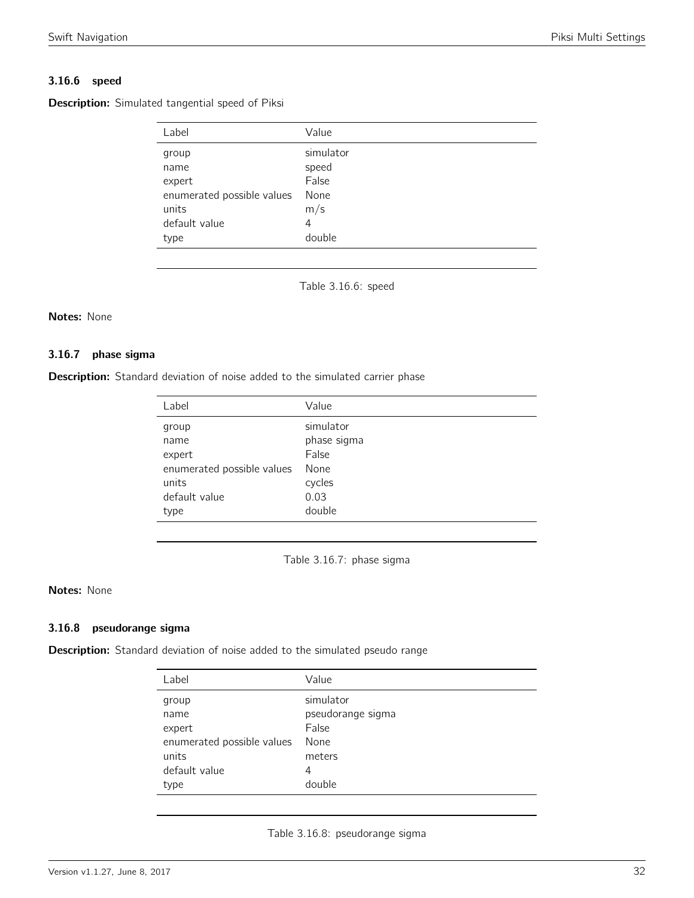### 3.16.6 speed

<span id="page-31-0"></span>Description: Simulated tangential speed of Piksi

| Label                      | Value     |
|----------------------------|-----------|
| group                      | simulator |
| name                       | speed     |
| expert                     | False     |
| enumerated possible values | None      |
| units                      | m/s       |
| default value              | 4         |
| type                       | double    |

Table 3.16.6: speed

### Notes: None

#### 3.16.7 phase sigma

<span id="page-31-1"></span>**Description:** Standard deviation of noise added to the simulated carrier phase

| Label                      | Value       |
|----------------------------|-------------|
| group                      | simulator   |
| name                       | phase sigma |
| expert                     | False       |
| enumerated possible values | None        |
| units                      | cycles      |
| default value              | 0.03        |
| type                       | double      |

Table 3.16.7: phase sigma

#### Notes: None

#### 3.16.8 pseudorange sigma

<span id="page-31-2"></span>Description: Standard deviation of noise added to the simulated pseudo range

| Label                      | Value             |
|----------------------------|-------------------|
| group                      | simulator         |
| name                       | pseudorange sigma |
| expert                     | False             |
| enumerated possible values | None              |
| units                      | meters            |
| default value              | 4                 |
| type                       | double            |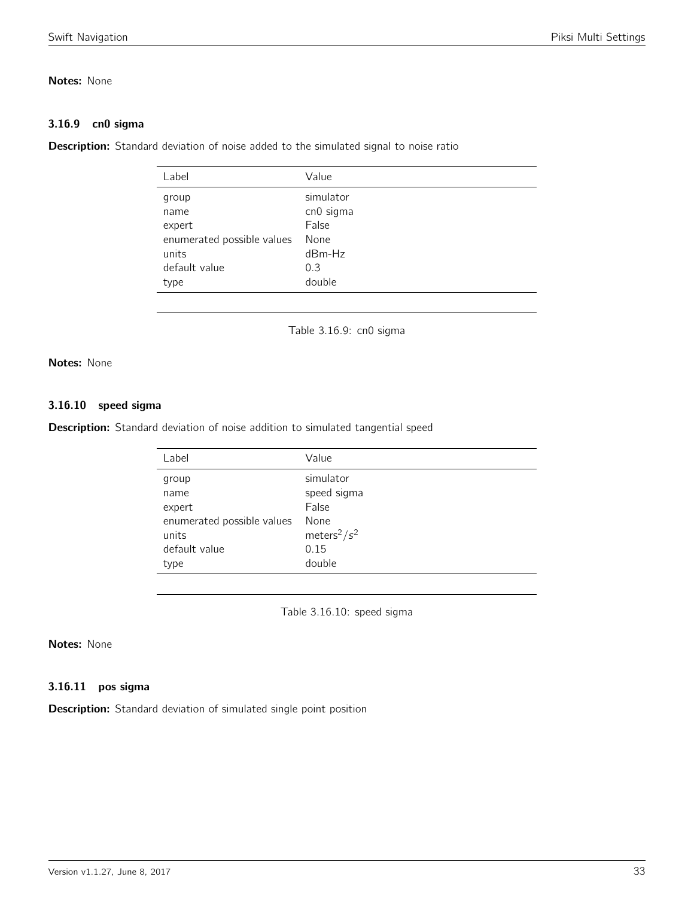### Notes: None

### 3.16.9 cn0 sigma

<span id="page-32-0"></span>Description: Standard deviation of noise added to the simulated signal to noise ratio

| Value     |
|-----------|
| simulator |
| cn0 sigma |
| False     |
| None      |
| $dBm-Hz$  |
| 0.3       |
| double    |
|           |

Table 3.16.9: cn0 sigma

### Notes: None

### 3.16.10 speed sigma

<span id="page-32-1"></span>Description: Standard deviation of noise addition to simulated tangential speed

| Value                       |
|-----------------------------|
| simulator                   |
| speed sigma                 |
| False                       |
| None                        |
| meters <sup>2</sup> / $s^2$ |
| 0.15                        |
| double                      |
|                             |

Table 3.16.10: speed sigma

### Notes: None

### 3.16.11 pos sigma

Description: Standard deviation of simulated single point position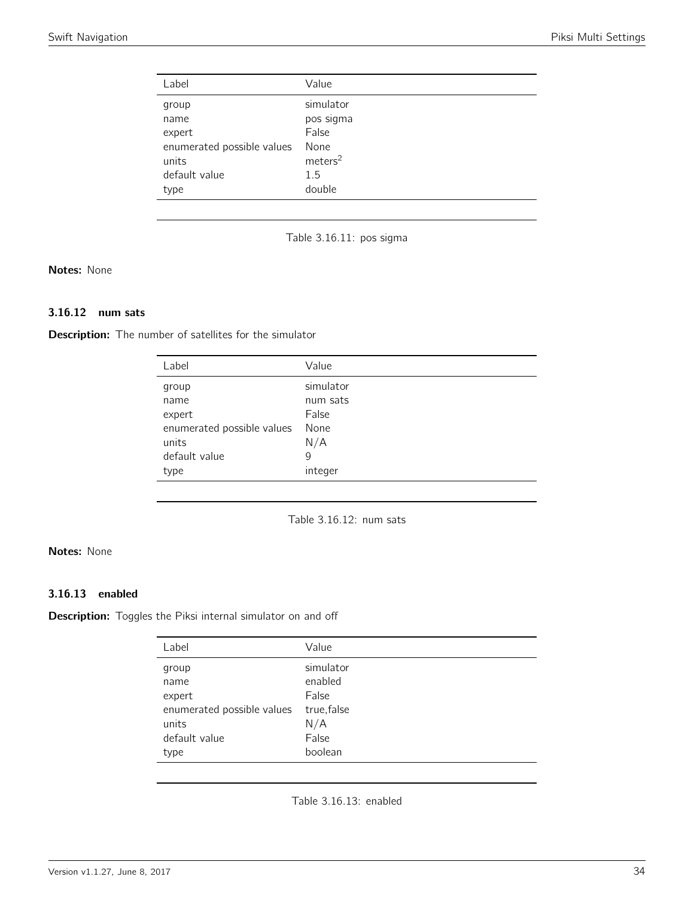<span id="page-33-0"></span>

| Label                      | Value               |
|----------------------------|---------------------|
| group                      | simulator           |
| name                       | pos sigma           |
| expert                     | False               |
| enumerated possible values | None                |
| units                      | meters <sup>2</sup> |
| default value              | 1.5                 |
| type                       | double              |

Table 3.16.11: pos sigma

### Notes: None

### 3.16.12 num sats

<span id="page-33-1"></span>**Description:** The number of satellites for the simulator

| Label                      | Value     |
|----------------------------|-----------|
| group                      | simulator |
| name                       | num sats  |
| expert                     | False     |
| enumerated possible values | None      |
| units                      | N/A       |
| default value              | 9         |
| type                       | integer   |

Table 3.16.12: num sats

### Notes: None

### 3.16.13 enabled

Description: Toggles the Piksi internal simulator on and off

| Label                      | Value                |
|----------------------------|----------------------|
| group<br>name              | simulator<br>enabled |
| expert                     | False                |
| enumerated possible values | true, false          |
| units                      | N/A                  |
| default value              | False                |
| type                       | boolean              |
|                            |                      |

Table 3.16.13: enabled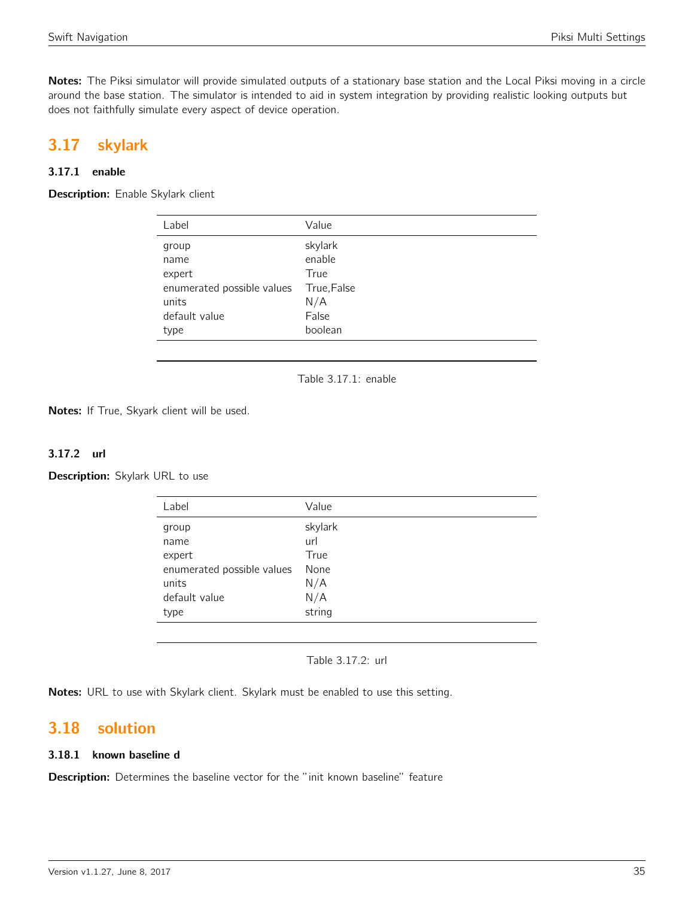Notes: The Piksi simulator will provide simulated outputs of a stationary base station and the Local Piksi moving in a circle around the base station. The simulator is intended to aid in system integration by providing realistic looking outputs but does not faithfully simulate every aspect of device operation.

## <span id="page-34-0"></span>3.17 skylark

### 3.17.1 enable

<span id="page-34-1"></span>Description: Enable Skylark client

| Label                      | Value       |
|----------------------------|-------------|
| group                      | skylark     |
| name                       | enable      |
| expert                     | True        |
| enumerated possible values | True, False |
| units                      | N/A         |
| default value              | False       |
| type                       | boolean     |

Table 3.17.1: enable

Notes: If True, Skyark client will be used.

### 3.17.2 url

Description: Skylark URL to use

| Value   |
|---------|
| skylark |
| url     |
| True    |
| None    |
| N/A     |
| N/A     |
| string  |
|         |

Table 3.17.2: url

Notes: URL to use with Skylark client. Skylark must be enabled to use this setting.

## <span id="page-34-2"></span>3.18 solution

### 3.18.1 known baseline d

Description: Determines the baseline vector for the "init known baseline" feature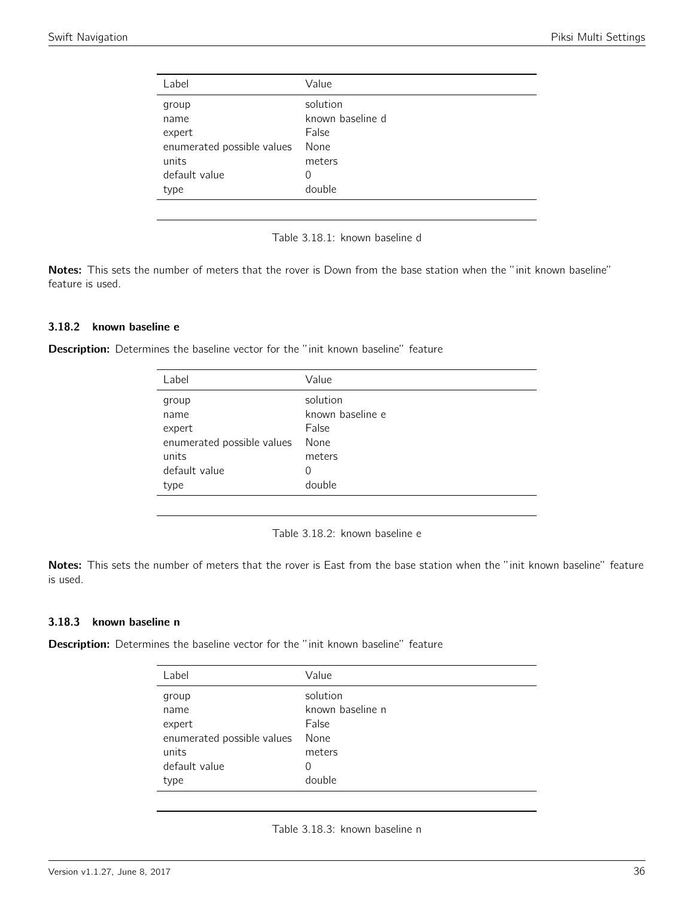<span id="page-35-0"></span>

| Label                      | Value            |
|----------------------------|------------------|
| group                      | solution         |
| name                       | known baseline d |
| expert                     | False            |
| enumerated possible values | None             |
| units                      | meters           |
| default value              | 0                |
| type                       | double           |
|                            |                  |



Notes: This sets the number of meters that the rover is Down from the base station when the "init known baseline" feature is used.

#### 3.18.2 known baseline e

<span id="page-35-1"></span>Description: Determines the baseline vector for the "init known baseline" feature

| Label                      | Value            |
|----------------------------|------------------|
| group                      | solution         |
| name                       | known baseline e |
| expert                     | False            |
| enumerated possible values | None             |
| units                      | meters           |
| default value              | 0                |
| type                       | double           |
|                            |                  |



Notes: This sets the number of meters that the rover is East from the base station when the "init known baseline" feature is used.

#### 3.18.3 known baseline n

<span id="page-35-2"></span>**Description:** Determines the baseline vector for the "init known baseline" feature

| Label                      | Value            |
|----------------------------|------------------|
| group                      | solution         |
| name                       | known baseline n |
| expert                     | False            |
| enumerated possible values | None             |
| units                      | meters           |
| default value              | $\cup$           |
| type                       | double           |
|                            |                  |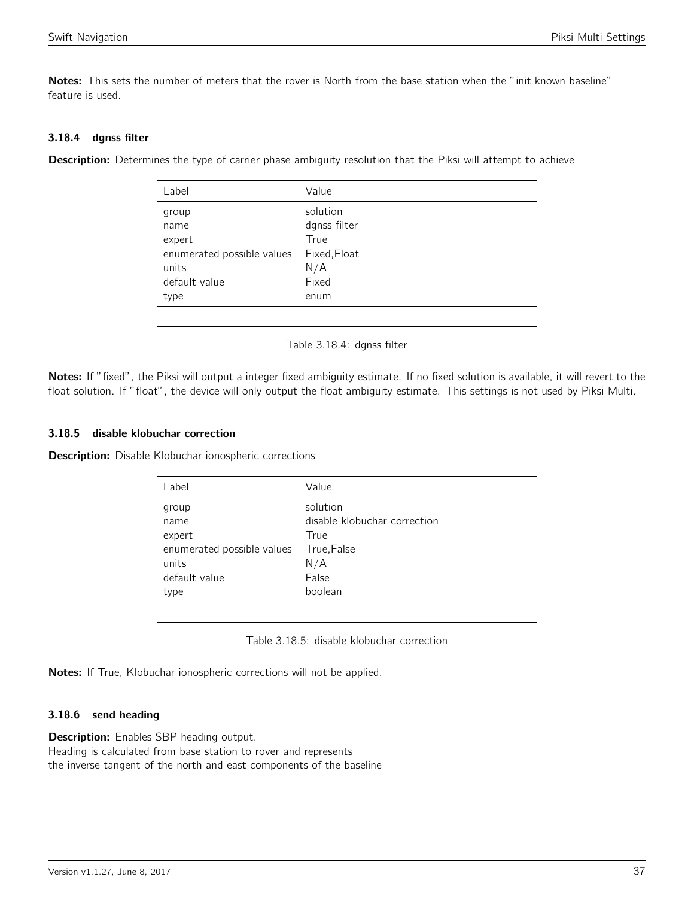Notes: This sets the number of meters that the rover is North from the base station when the "init known baseline" feature is used.

### 3.18.4 dgnss filter

<span id="page-36-0"></span>**Description:** Determines the type of carrier phase ambiguity resolution that the Piksi will attempt to achieve

| Label                      | Value        |
|----------------------------|--------------|
| group                      | solution     |
| name                       | dgnss filter |
| expert                     | True         |
| enumerated possible values | Fixed, Float |
| units                      | N/A          |
| default value              | Fixed        |
| type                       | enum         |
|                            |              |

Table 3.18.4: dgnss filter

Notes: If "fixed", the Piksi will output a integer fixed ambiguity estimate. If no fixed solution is available, it will revert to the float solution. If "float", the device will only output the float ambiguity estimate. This settings is not used by Piksi Multi.

### 3.18.5 disable klobuchar correction

<span id="page-36-1"></span>**Description:** Disable Klobuchar ionospheric corrections

| Value                        |
|------------------------------|
| solution                     |
| disable klobuchar correction |
| True                         |
| True, False                  |
| N/A                          |
| False                        |
| boolean                      |
|                              |

Table 3.18.5: disable klobuchar correction

Notes: If True, Klobuchar ionospheric corrections will not be applied.

### 3.18.6 send heading

**Description:** Enables SBP heading output. Heading is calculated from base station to rover and represents the inverse tangent of the north and east components of the baseline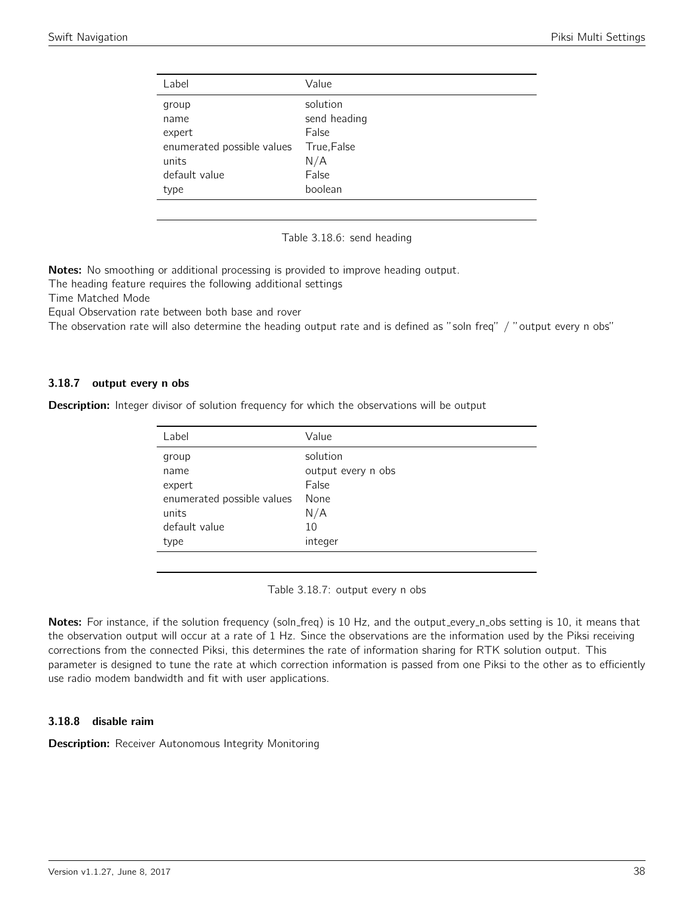<span id="page-37-0"></span>

| Label                      | Value        |
|----------------------------|--------------|
| group                      | solution     |
| name                       | send heading |
| expert                     | False        |
| enumerated possible values | True, False  |
| units                      | N/A          |
| default value              | False        |
| type                       | boolean      |
|                            |              |

Table 3.18.6: send heading

Notes: No smoothing or additional processing is provided to improve heading output.

The heading feature requires the following additional settings

Time Matched Mode

Equal Observation rate between both base and rover

The observation rate will also determine the heading output rate and is defined as "soln freq" / "output every n obs"

### 3.18.7 output every n obs

<span id="page-37-1"></span>**Description:** Integer divisor of solution frequency for which the observations will be output

| Label                      | Value              |
|----------------------------|--------------------|
| group                      | solution           |
| name                       | output every n obs |
| expert                     | False              |
| enumerated possible values | None               |
| units                      | N/A                |
| default value              | 10                 |
| type                       | integer            |
|                            |                    |

Table 3.18.7: output every n obs

Notes: For instance, if the solution frequency (soln\_freq) is 10 Hz, and the output\_every\_n\_obs setting is 10, it means that the observation output will occur at a rate of 1 Hz. Since the observations are the information used by the Piksi receiving corrections from the connected Piksi, this determines the rate of information sharing for RTK solution output. This parameter is designed to tune the rate at which correction information is passed from one Piksi to the other as to efficiently use radio modem bandwidth and fit with user applications.

### 3.18.8 disable raim

**Description:** Receiver Autonomous Integrity Monitoring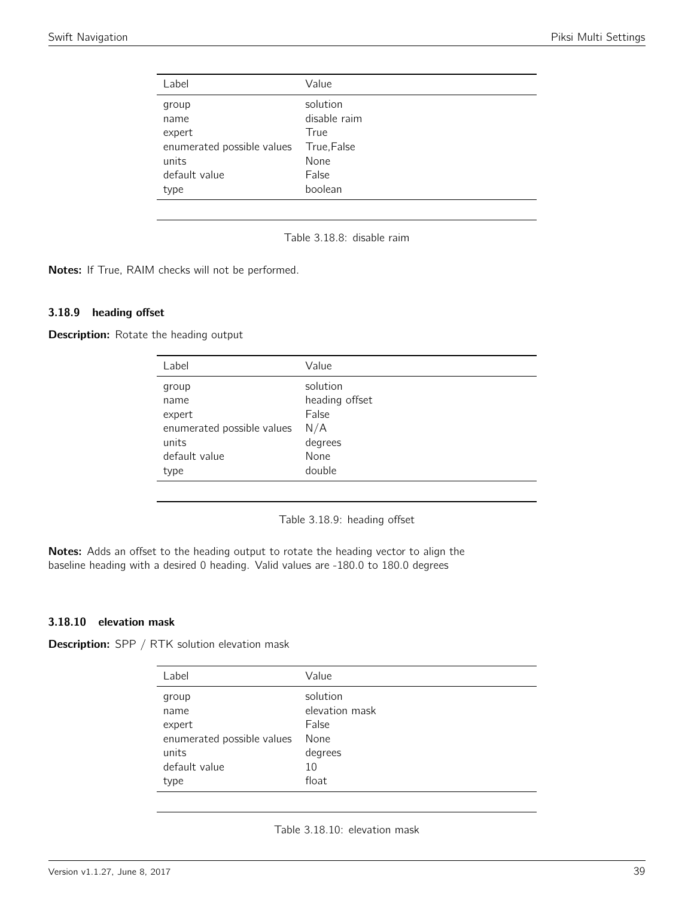<span id="page-38-0"></span>

| Label                      | Value        |
|----------------------------|--------------|
| group                      | solution     |
| name                       | disable raim |
| expert                     | True         |
| enumerated possible values | True, False  |
| units                      | None         |
| default value              | False        |
| type                       | boolean      |
|                            |              |

Table 3.18.8: disable raim

Notes: If True, RAIM checks will not be performed.

### 3.18.9 heading offset

<span id="page-38-1"></span>**Description:** Rotate the heading output

| Label                      | Value          |
|----------------------------|----------------|
| group                      | solution       |
| name                       | heading offset |
| expert                     | False          |
| enumerated possible values | N/A            |
| units                      | degrees        |
| default value              | None           |
| type                       | double         |

Table 3.18.9: heading offset

Notes: Adds an offset to the heading output to rotate the heading vector to align the baseline heading with a desired 0 heading. Valid values are -180.0 to 180.0 degrees

#### 3.18.10 elevation mask

<span id="page-38-2"></span>**Description:** SPP / RTK solution elevation mask

| Label                      | Value          |
|----------------------------|----------------|
| group                      | solution       |
| name                       | elevation mask |
| expert                     | False          |
| enumerated possible values | None           |
| units                      | degrees        |
| default value              | 10             |
| type                       | float          |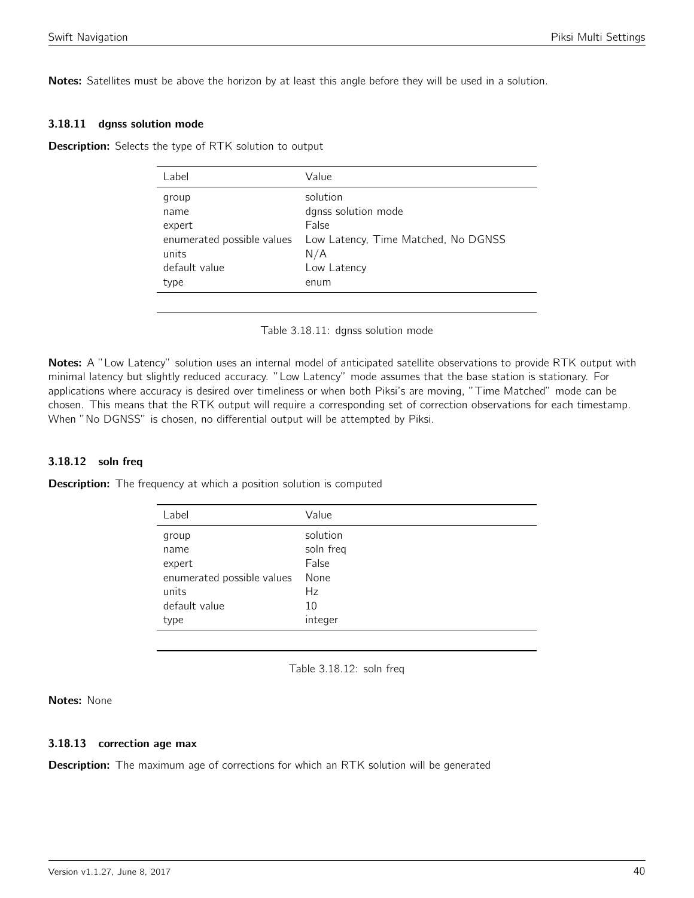Notes: Satellites must be above the horizon by at least this angle before they will be used in a solution.

#### 3.18.11 dgnss solution mode

<span id="page-39-0"></span>**Description:** Selects the type of RTK solution to output

| Label                      | Value                               |
|----------------------------|-------------------------------------|
| group                      | solution                            |
| name                       | dgnss solution mode                 |
| expert                     | False                               |
| enumerated possible values | Low Latency, Time Matched, No DGNSS |
| units                      | N/A                                 |
| default value              | Low Latency                         |
| type                       | enum                                |
|                            |                                     |

Table 3.18.11: dgnss solution mode

Notes: A "Low Latency" solution uses an internal model of anticipated satellite observations to provide RTK output with minimal latency but slightly reduced accuracy. "Low Latency" mode assumes that the base station is stationary. For applications where accuracy is desired over timeliness or when both Piksi's are moving, "Time Matched" mode can be chosen. This means that the RTK output will require a corresponding set of correction observations for each timestamp. When "No DGNSS" is chosen, no differential output will be attempted by Piksi.

### 3.18.12 soln freq

<span id="page-39-1"></span>**Description:** The frequency at which a position solution is computed

| Label                      | Value     |
|----------------------------|-----------|
| group                      | solution  |
| name                       | soln freq |
| expert                     | False     |
| enumerated possible values | None      |
| units                      | Hz        |
| default value              | 10        |
| type                       | integer   |
|                            |           |

Table 3.18.12: soln freq

Notes: None

#### 3.18.13 correction age max

**Description:** The maximum age of corrections for which an RTK solution will be generated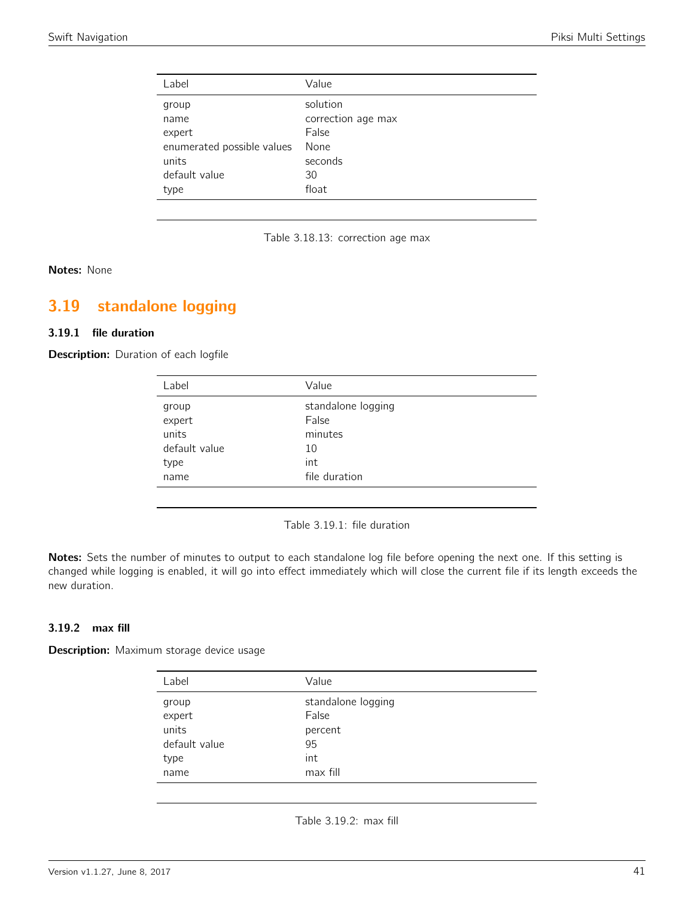| Label                      | Value              |
|----------------------------|--------------------|
| group                      | solution           |
| name                       | correction age max |
| expert                     | False              |
| enumerated possible values | None               |
| units                      | seconds            |
| default value              | 30                 |
| type                       | float              |

Table 3.18.13: correction age max

### Notes: None

# <span id="page-40-0"></span>3.19 standalone logging

#### 3.19.1 file duration

<span id="page-40-1"></span>Description: Duration of each logfile

| Label         | Value              |
|---------------|--------------------|
| group         | standalone logging |
| expert        | False              |
| units         | minutes            |
| default value | 10                 |
| type          | int                |
| name          | file duration      |
|               |                    |

Table 3.19.1: file duration

Notes: Sets the number of minutes to output to each standalone log file before opening the next one. If this setting is changed while logging is enabled, it will go into effect immediately which will close the current file if its length exceeds the new duration.

### 3.19.2 max fill

<span id="page-40-2"></span>Description: Maximum storage device usage

| Label           | Value                       |
|-----------------|-----------------------------|
| group<br>expert | standalone logging<br>False |
| units           | percent                     |
| default value   | 95                          |
| type            | int                         |
| name            | max fill                    |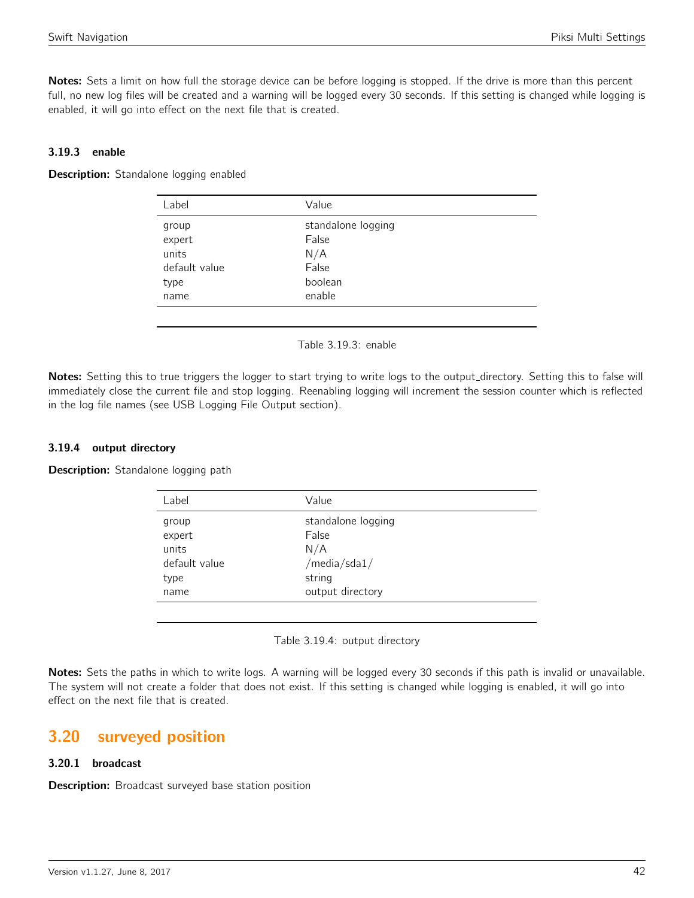Notes: Sets a limit on how full the storage device can be before logging is stopped. If the drive is more than this percent full, no new log files will be created and a warning will be logged every 30 seconds. If this setting is changed while logging is enabled, it will go into effect on the next file that is created.

### 3.19.3 enable

<span id="page-41-0"></span>Description: Standalone logging enabled

| Label                                                     | Value                                                            |
|-----------------------------------------------------------|------------------------------------------------------------------|
| group<br>expert<br>units<br>default value<br>type<br>name | standalone logging<br>False<br>N/A<br>False<br>boolean<br>enable |
|                                                           |                                                                  |

Table 3.19.3: enable

Notes: Setting this to true triggers the logger to start trying to write logs to the output directory. Setting this to false will immediately close the current file and stop logging. Reenabling logging will increment the session counter which is reflected in the log file names (see USB Logging File Output section).

### 3.19.4 output directory

Description: Standalone logging path

| Label                                                     | Value                                                                               |
|-----------------------------------------------------------|-------------------------------------------------------------------------------------|
| group<br>expert<br>units<br>default value<br>type<br>name | standalone logging<br>False<br>N/A<br>/media/sda $1/$<br>string<br>output directory |
|                                                           |                                                                                     |

Table 3.19.4: output directory

Notes: Sets the paths in which to write logs. A warning will be logged every 30 seconds if this path is invalid or unavailable. The system will not create a folder that does not exist. If this setting is changed while logging is enabled, it will go into effect on the next file that is created.

## <span id="page-41-1"></span>3.20 surveyed position

### 3.20.1 broadcast

**Description:** Broadcast surveyed base station position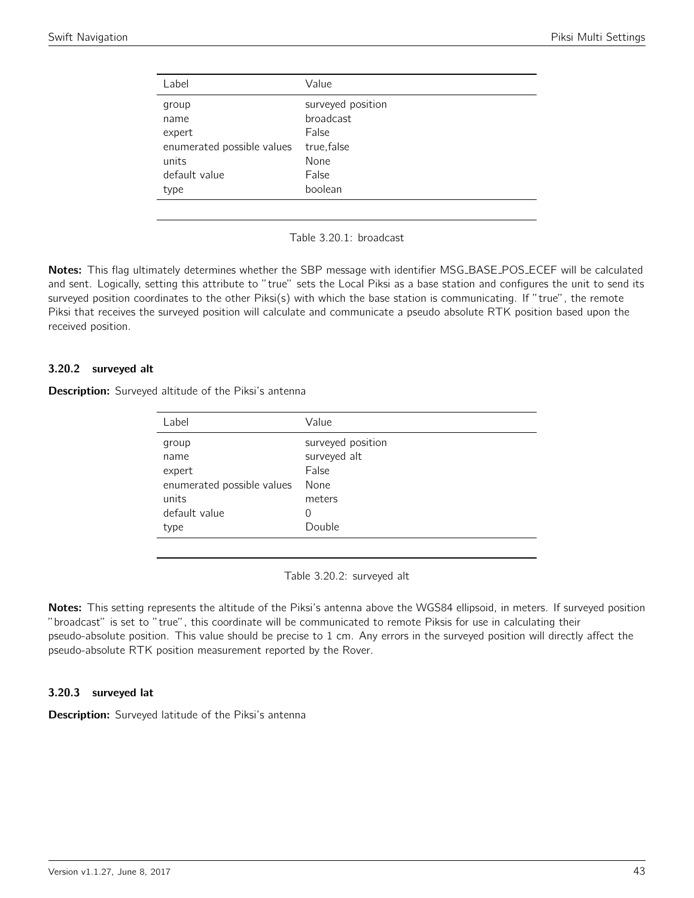<span id="page-42-0"></span>

| Label                      | Value             |
|----------------------------|-------------------|
| group                      | surveyed position |
| name                       | <b>broadcast</b>  |
| expert                     | False             |
| enumerated possible values | true, false       |
| units                      | None              |
| default value              | False             |
| type                       | boolean           |
|                            |                   |



Notes: This flag ultimately determines whether the SBP message with identifier MSG\_BASE\_POS\_ECEF will be calculated and sent. Logically, setting this attribute to "true" sets the Local Piksi as a base station and configures the unit to send its surveyed position coordinates to the other Piksi(s) with which the base station is communicating. If "true", the remote Piksi that receives the surveyed position will calculate and communicate a pseudo absolute RTK position based upon the received position.

### 3.20.2 surveyed alt

<span id="page-42-1"></span>Description: Surveyed altitude of the Piksi's antenna

| Label                      | Value             |
|----------------------------|-------------------|
| group                      | surveyed position |
| name                       | surveyed alt      |
| expert                     | False             |
| enumerated possible values | None              |
| units                      | meters            |
| default value              | 0                 |
| type                       | Double            |
|                            |                   |

Table 3.20.2: surveyed alt

Notes: This setting represents the altitude of the Piksi's antenna above the WGS84 ellipsoid, in meters. If surveyed position "broadcast" is set to "true", this coordinate will be communicated to remote Piksis for use in calculating their pseudo-absolute position. This value should be precise to 1 cm. Any errors in the surveyed position will directly affect the pseudo-absolute RTK position measurement reported by the Rover.

### 3.20.3 surveyed lat

**Description:** Surveyed latitude of the Piksi's antenna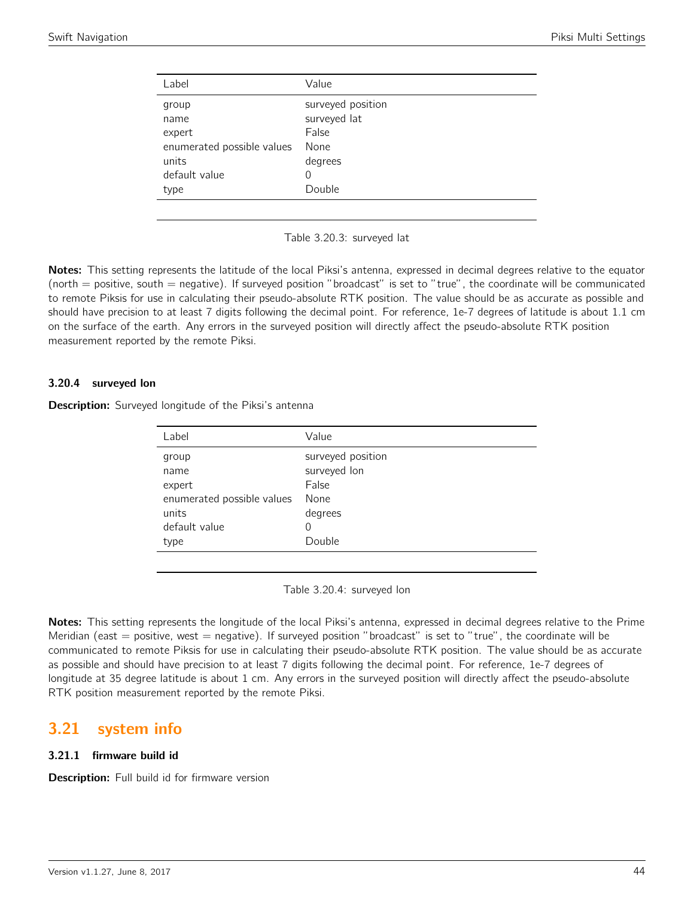<span id="page-43-0"></span>

| Label                      | Value             |
|----------------------------|-------------------|
| group                      | surveyed position |
| name                       | surveyed lat      |
| expert                     | False             |
| enumerated possible values | None              |
| units                      | degrees           |
| default value              | 0                 |
| type                       | Double            |
|                            |                   |

Table 3.20.3: surveyed lat

Notes: This setting represents the latitude of the local Piksi's antenna, expressed in decimal degrees relative to the equator (north  $=$  positive, south  $=$  negative). If surveyed position "broadcast" is set to "true", the coordinate will be communicated to remote Piksis for use in calculating their pseudo-absolute RTK position. The value should be as accurate as possible and should have precision to at least 7 digits following the decimal point. For reference, 1e-7 degrees of latitude is about 1.1 cm on the surface of the earth. Any errors in the surveyed position will directly affect the pseudo-absolute RTK position measurement reported by the remote Piksi.

### 3.20.4 surveyed lon

Description: Surveyed longitude of the Piksi's antenna

| Value             |
|-------------------|
| surveyed position |
| surveyed lon      |
| False             |
| None              |
| degrees           |
| 0                 |
| Double            |
|                   |

Table 3.20.4: surveyed lon

Notes: This setting represents the longitude of the local Piksi's antenna, expressed in decimal degrees relative to the Prime Meridian (east  $=$  positive, west  $=$  negative). If surveyed position "broadcast" is set to "true", the coordinate will be communicated to remote Piksis for use in calculating their pseudo-absolute RTK position. The value should be as accurate as possible and should have precision to at least 7 digits following the decimal point. For reference, 1e-7 degrees of longitude at 35 degree latitude is about 1 cm. Any errors in the surveyed position will directly affect the pseudo-absolute RTK position measurement reported by the remote Piksi.

## <span id="page-43-1"></span>3.21 system info

### 3.21.1 firmware build id

Description: Full build id for firmware version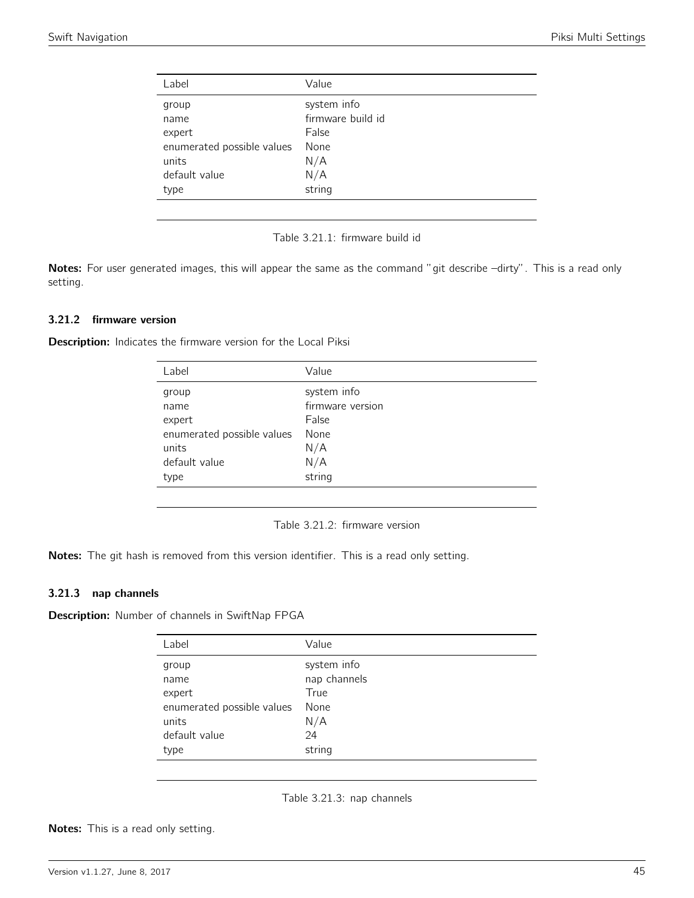<span id="page-44-0"></span>

| Label                      | Value             |
|----------------------------|-------------------|
| group                      | system info       |
| name                       | firmware build id |
| expert                     | False             |
| enumerated possible values | None              |
| units                      | N/A               |
| default value              | N/A               |
| type                       | string            |
|                            |                   |



Notes: For user generated images, this will appear the same as the command "git describe -dirty". This is a read only setting.

#### 3.21.2 firmware version

<span id="page-44-1"></span>Description: Indicates the firmware version for the Local Piksi

| Label                      | Value            |
|----------------------------|------------------|
| group                      | system info      |
| name                       | firmware version |
| expert                     | False            |
| enumerated possible values | None             |
| units                      | N/A              |
| default value              | N/A              |
| type                       | string           |
|                            |                  |

| Table 3.21.2: firmware version |  |  |  |  |
|--------------------------------|--|--|--|--|
|--------------------------------|--|--|--|--|

Notes: The git hash is removed from this version identifier. This is a read only setting.

#### 3.21.3 nap channels

<span id="page-44-2"></span>Description: Number of channels in SwiftNap FPGA

| Label                      | Value        |
|----------------------------|--------------|
| group                      | system info  |
| name                       | nap channels |
| expert                     | True         |
| enumerated possible values | None         |
| units                      | N/A          |
| default value              | 24           |
| type                       | string       |

Table 3.21.3: nap channels

Notes: This is a read only setting.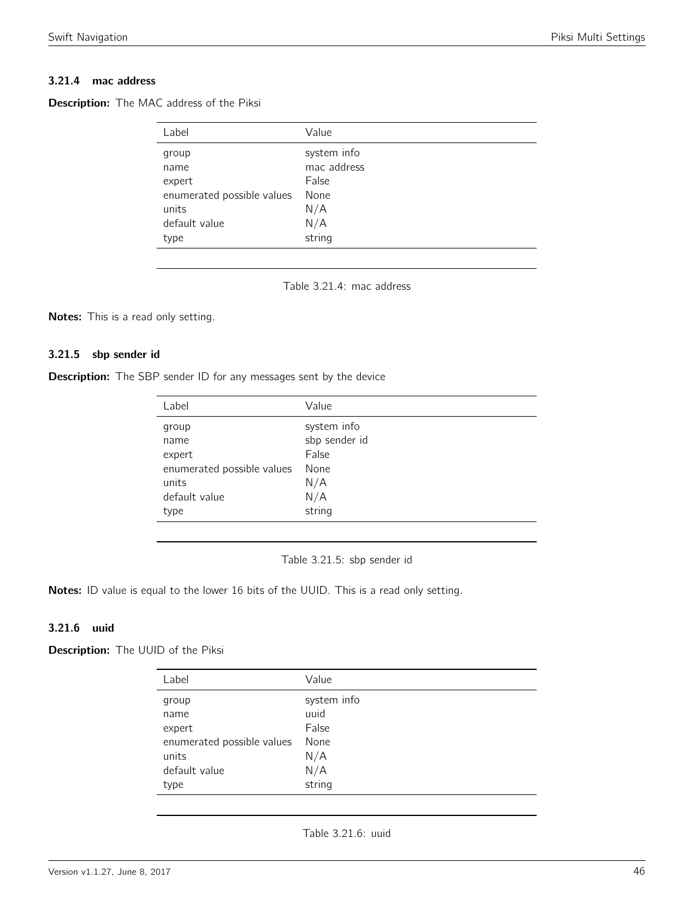### 3.21.4 mac address

<span id="page-45-0"></span>

| <b>Description:</b> The MAC address of the Piksi |  |  |  |  |
|--------------------------------------------------|--|--|--|--|
|--------------------------------------------------|--|--|--|--|

| Label                      | Value       |
|----------------------------|-------------|
| group                      | system info |
| name                       | mac address |
| expert                     | False       |
| enumerated possible values | None        |
| units                      | N/A         |
| default value              | N/A         |
| type                       | string      |

Table 3.21.4: mac address

Notes: This is a read only setting.

#### 3.21.5 sbp sender id

<span id="page-45-1"></span>

| Description: The SBP sender ID for any messages sent by the device |  |
|--------------------------------------------------------------------|--|
|--------------------------------------------------------------------|--|

| Label                      | Value         |
|----------------------------|---------------|
| group                      | system info   |
| name                       | sbp sender id |
| expert                     | False         |
| enumerated possible values | None          |
| units                      | N/A           |
| default value              | N/A           |
| type                       | string        |
|                            |               |

Table 3.21.5: sbp sender id

Notes: ID value is equal to the lower 16 bits of the UUID. This is a read only setting.

### 3.21.6 uuid

<span id="page-45-2"></span>**Description:** The UUID of the Piksi

| Label                      | Value       |
|----------------------------|-------------|
| group                      | system info |
| name                       | uuid        |
| expert                     | False       |
| enumerated possible values | None        |
| units                      | N/A         |
| default value              | N/A         |
| type                       | string      |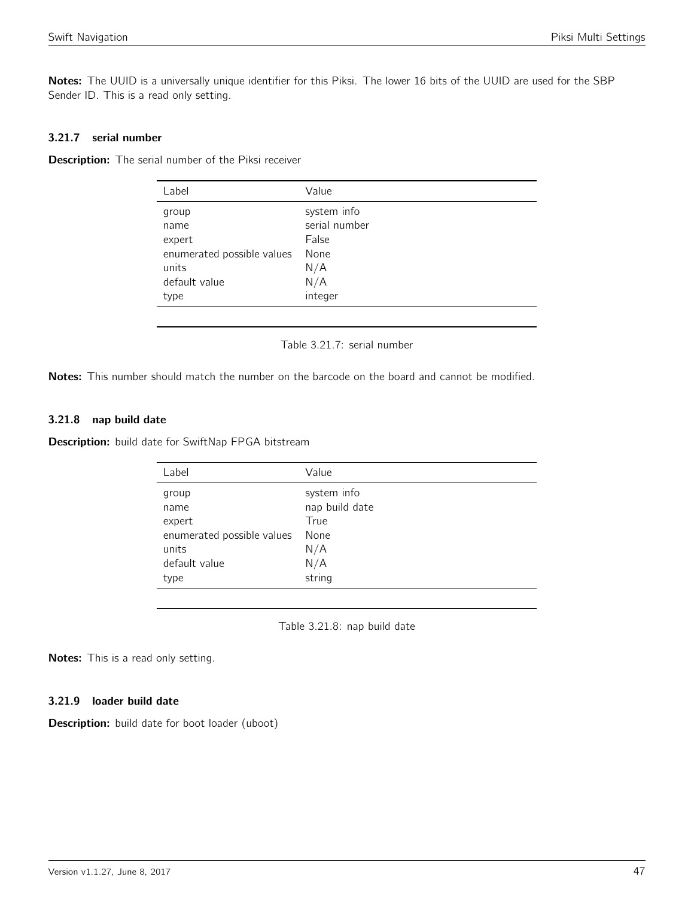Notes: The UUID is a universally unique identifier for this Piksi. The lower 16 bits of the UUID are used for the SBP Sender ID. This is a read only setting.

### 3.21.7 serial number

<span id="page-46-0"></span>Description: The serial number of the Piksi receiver

| Label                      | Value         |
|----------------------------|---------------|
| group                      | system info   |
| name                       | serial number |
| expert                     | False         |
| enumerated possible values | None          |
| units                      | N/A           |
| default value              | N/A           |
| type                       | integer       |
|                            |               |

Table 3.21.7: serial number

Notes: This number should match the number on the barcode on the board and cannot be modified.

#### 3.21.8 nap build date

<span id="page-46-1"></span>Description: build date for SwiftNap FPGA bitstream

| Label                                                          | Value                                 |
|----------------------------------------------------------------|---------------------------------------|
| group<br>name                                                  | system info<br>nap build date<br>True |
| expert<br>enumerated possible values<br>units<br>default value | None<br>N/A<br>N/A                    |
| type                                                           | string                                |

Table 3.21.8: nap build date

Notes: This is a read only setting.

#### 3.21.9 loader build date

Description: build date for boot loader (uboot)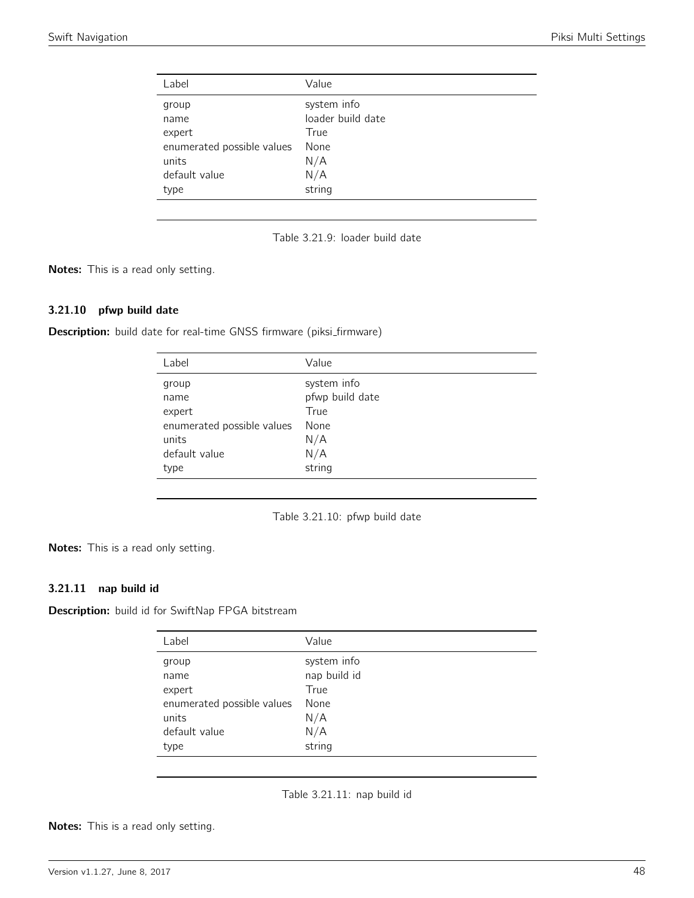<span id="page-47-0"></span>

| Value             |
|-------------------|
| system info       |
| loader build date |
| True              |
| None              |
| N/A               |
| N/A               |
| string            |
|                   |

Table 3.21.9: loader build date

Notes: This is a read only setting.

#### 3.21.10 pfwp build date

<span id="page-47-1"></span>Description: build date for real-time GNSS firmware (piksi\_firmware)

| Label                      | Value           |
|----------------------------|-----------------|
| group                      | system info     |
| name                       | pfwp build date |
| expert                     | True            |
| enumerated possible values | None            |
| units                      | N/A             |
| default value              | N/A             |
| type                       | string          |
|                            |                 |

Table 3.21.10: pfwp build date

Notes: This is a read only setting.

### 3.21.11 nap build id

<span id="page-47-2"></span>Description: build id for SwiftNap FPGA bitstream

| Label                      | Value        |
|----------------------------|--------------|
| group                      | system info  |
| name                       | nap build id |
| expert                     | True         |
| enumerated possible values | None         |
| units                      | N/A          |
| default value              | N/A          |
| type                       | string       |

Table 3.21.11: nap build id

Notes: This is a read only setting.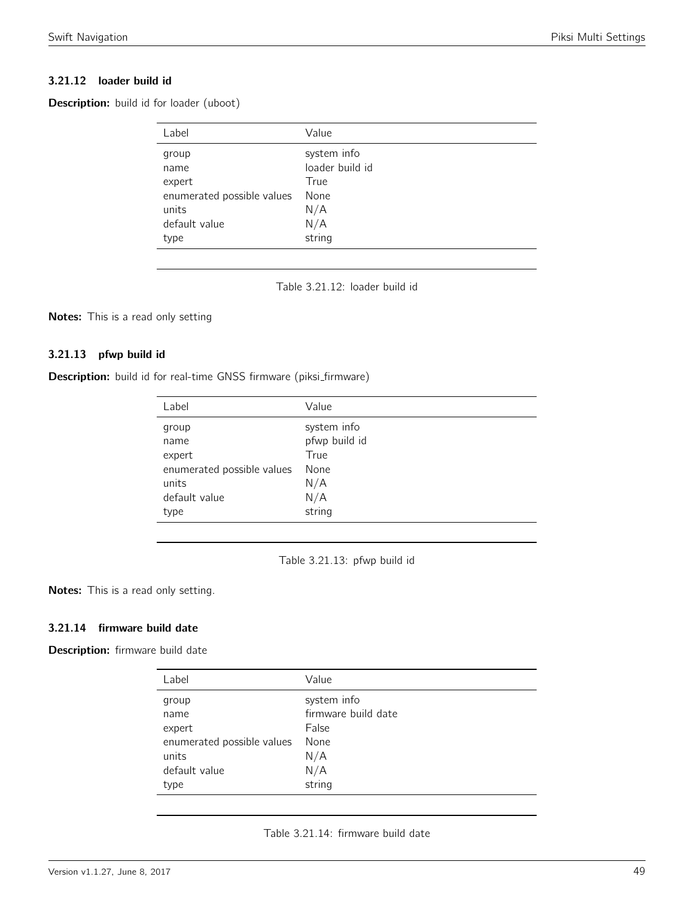### 3.21.12 loader build id

<span id="page-48-0"></span>Description: build id for loader (uboot)

| Label                                                                                   | Value                                                                  |
|-----------------------------------------------------------------------------------------|------------------------------------------------------------------------|
| group<br>name<br>expert<br>enumerated possible values<br>units<br>default value<br>type | system info<br>loader build id<br>True<br>None<br>N/A<br>N/A<br>string |
|                                                                                         |                                                                        |

Table 3.21.12: loader build id

Notes: This is a read only setting

### 3.21.13 pfwp build id

<span id="page-48-1"></span>

|  |  |  |  |  | Description: build id for real-time GNSS firmware (piksi_firmware) |
|--|--|--|--|--|--------------------------------------------------------------------|
|--|--|--|--|--|--------------------------------------------------------------------|

| Label                      | Value         |
|----------------------------|---------------|
| group                      | system info   |
| name                       | pfwp build id |
| expert                     | True          |
| enumerated possible values | None          |
| units                      | N/A           |
| default value              | N/A           |
| type                       | string        |

Table 3.21.13: pfwp build id

Notes: This is a read only setting.

### 3.21.14 firmware build date

<span id="page-48-2"></span>Description: firmware build date

| Label                      | Value               |
|----------------------------|---------------------|
| group                      | system info         |
| name                       | firmware build date |
| expert                     | False               |
| enumerated possible values | None                |
| units                      | N/A                 |
| default value              | N/A                 |
| type                       | string              |

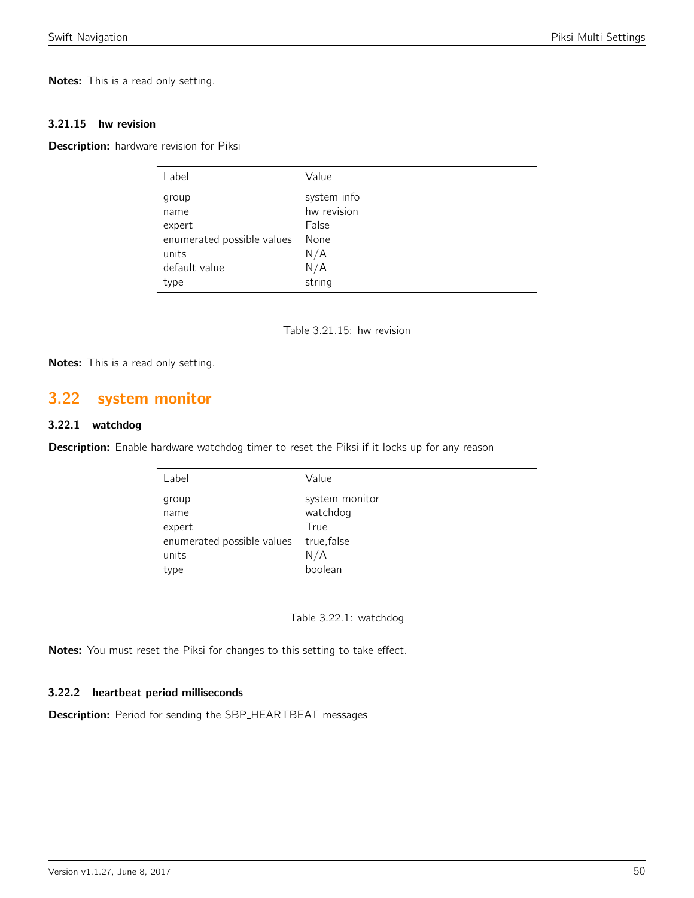Notes: This is a read only setting.

#### 3.21.15 hw revision

Description: hardware revision for Piksi

| Label                      | Value       |
|----------------------------|-------------|
| group                      | system info |
| name                       | hw revision |
| expert                     | False       |
| enumerated possible values | None        |
| units                      | N/A         |
| default value              | N/A         |
| type                       | string      |
|                            |             |

Table 3.21.15: hw revision

Notes: This is a read only setting.

## <span id="page-49-0"></span>3.22 system monitor

### 3.22.1 watchdog

<span id="page-49-1"></span>Description: Enable hardware watchdog timer to reset the Piksi if it locks up for any reason

| Label                      | Value          |
|----------------------------|----------------|
| group                      | system monitor |
| name                       | watchdog       |
| expert                     | True           |
| enumerated possible values | true, false    |
| units                      | N/A            |
| type                       | boolean        |
|                            |                |

Table 3.22.1: watchdog

Notes: You must reset the Piksi for changes to this setting to take effect.

### 3.22.2 heartbeat period milliseconds

Description: Period for sending the SBP\_HEARTBEAT messages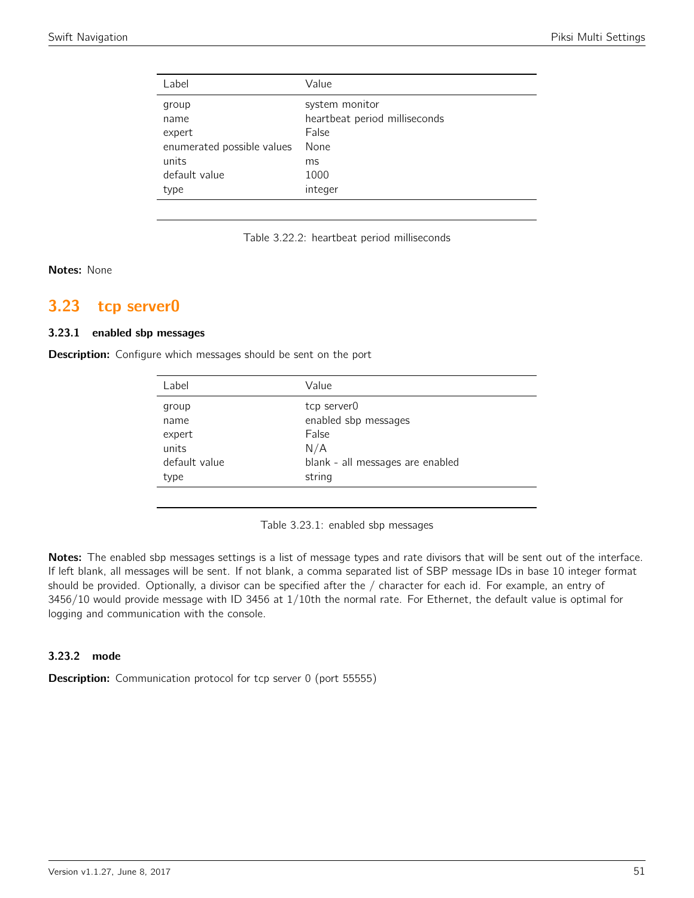| Label                      | Value                         |
|----------------------------|-------------------------------|
| group                      | system monitor                |
| name                       | heartbeat period milliseconds |
| expert                     | False                         |
| enumerated possible values | None                          |
| units                      | ms                            |
| default value              | 1000                          |
| type                       | integer                       |
|                            |                               |

Table 3.22.2: heartbeat period milliseconds

#### Notes: None

## <span id="page-50-0"></span>3.23 tcp server0

### 3.23.1 enabled sbp messages

<span id="page-50-1"></span>**Description:** Configure which messages should be sent on the port

| Label          | Value                               |
|----------------|-------------------------------------|
| group          | tcp server0<br>enabled sbp messages |
| name<br>expert | False                               |
| units          | N/A                                 |
| default value  | blank - all messages are enabled    |
| type           | string                              |

Table 3.23.1: enabled sbp messages

Notes: The enabled sbp messages settings is a list of message types and rate divisors that will be sent out of the interface. If left blank, all messages will be sent. If not blank, a comma separated list of SBP message IDs in base 10 integer format should be provided. Optionally, a divisor can be specified after the / character for each id. For example, an entry of 3456/10 would provide message with ID 3456 at 1/10th the normal rate. For Ethernet, the default value is optimal for logging and communication with the console.

#### 3.23.2 mode

Description: Communication protocol for tcp server 0 (port 55555)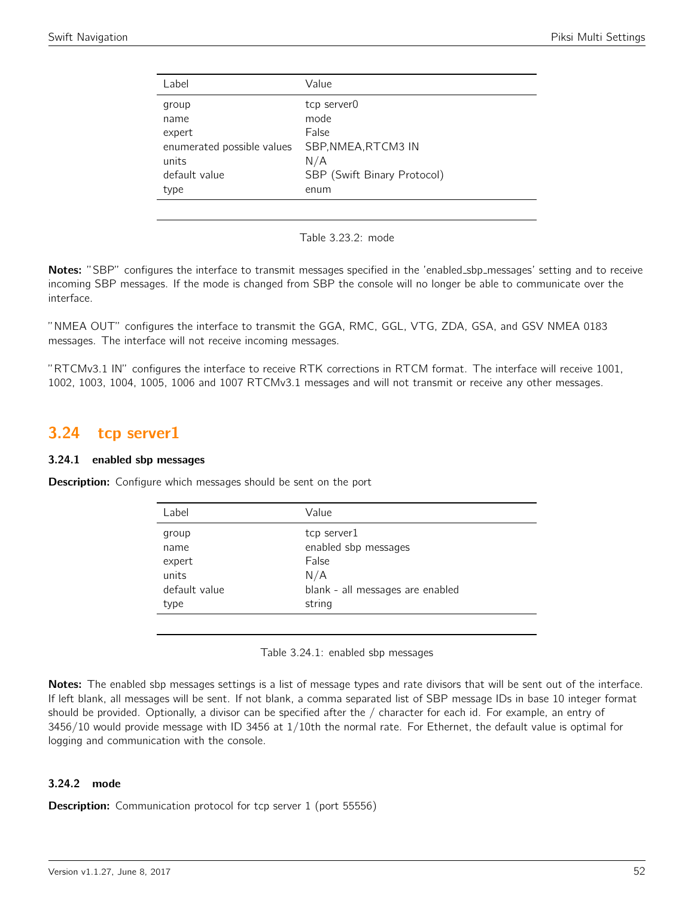| Label                      | Value                       |
|----------------------------|-----------------------------|
| group                      | tcp server0                 |
| name                       | mode                        |
| expert                     | False                       |
| enumerated possible values | SBP, NMEA, RTCM3 IN         |
| units                      | N/A                         |
| default value              | SBP (Swift Binary Protocol) |
| type                       | enum                        |
|                            |                             |

Table 3.23.2: mode

Notes: "SBP" configures the interface to transmit messages specified in the 'enabled\_sbp\_messages' setting and to receive incoming SBP messages. If the mode is changed from SBP the console will no longer be able to communicate over the interface.

"NMEA OUT" configures the interface to transmit the GGA, RMC, GGL, VTG, ZDA, GSA, and GSV NMEA 0183 messages. The interface will not receive incoming messages.

"RTCMv3.1 IN" configures the interface to receive RTK corrections in RTCM format. The interface will receive 1001, 1002, 1003, 1004, 1005, 1006 and 1007 RTCMv3.1 messages and will not transmit or receive any other messages.

## <span id="page-51-0"></span>3.24 tcp server1

### 3.24.1 enabled sbp messages

<span id="page-51-1"></span>**Description:** Configure which messages should be sent on the port

| Label         | Value                            |
|---------------|----------------------------------|
| group         | tcp server1                      |
| name          | enabled sbp messages             |
| expert        | False                            |
| units         | N/A                              |
| default value | blank - all messages are enabled |
| type          | string                           |
|               |                                  |

Table 3.24.1: enabled sbp messages

Notes: The enabled sbp messages settings is a list of message types and rate divisors that will be sent out of the interface. If left blank, all messages will be sent. If not blank, a comma separated list of SBP message IDs in base 10 integer format should be provided. Optionally, a divisor can be specified after the / character for each id. For example, an entry of 3456/10 would provide message with ID 3456 at 1/10th the normal rate. For Ethernet, the default value is optimal for logging and communication with the console.

### 3.24.2 mode

**Description:** Communication protocol for tcp server 1 (port 55556)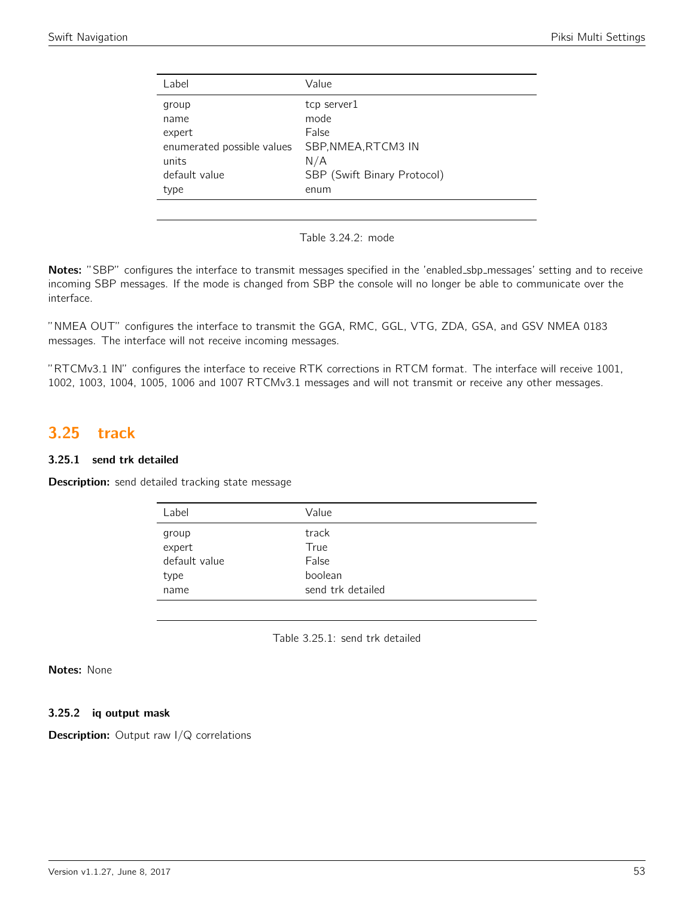| Label                      | Value                       |
|----------------------------|-----------------------------|
| group                      | tcp server1                 |
| name                       | mode                        |
| expert                     | False                       |
| enumerated possible values | SBP, NMEA, RTCM3 IN         |
| units                      | N/A                         |
| default value              | SBP (Swift Binary Protocol) |
| type                       | enum                        |
|                            |                             |

Table 3.24.2: mode

Notes: "SBP" configures the interface to transmit messages specified in the 'enabled\_sbp\_messages' setting and to receive incoming SBP messages. If the mode is changed from SBP the console will no longer be able to communicate over the interface.

"NMEA OUT" configures the interface to transmit the GGA, RMC, GGL, VTG, ZDA, GSA, and GSV NMEA 0183 messages. The interface will not receive incoming messages.

"RTCMv3.1 IN" configures the interface to receive RTK corrections in RTCM format. The interface will receive 1001, 1002, 1003, 1004, 1005, 1006 and 1007 RTCMv3.1 messages and will not transmit or receive any other messages.

## <span id="page-52-0"></span>3.25 track

### 3.25.1 send trk detailed

<span id="page-52-1"></span>Description: send detailed tracking state message

| Label           | Value             |
|-----------------|-------------------|
| group<br>expert | track<br>True     |
| default value   | False             |
| type            | boolean           |
| name            | send trk detailed |

Table 3.25.1: send trk detailed

### Notes: None

#### 3.25.2 iq output mask

**Description:** Output raw I/Q correlations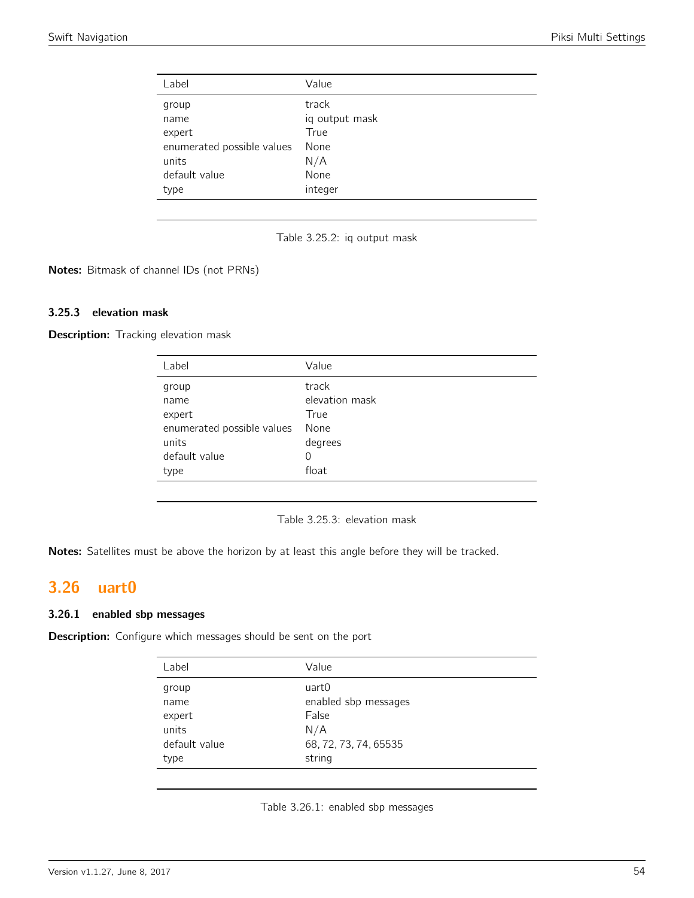<span id="page-53-0"></span>

| Label                      | Value          |
|----------------------------|----------------|
| group                      | track          |
| name                       | iq output mask |
| expert                     | True           |
| enumerated possible values | None           |
| units                      | N/A            |
| default value              | None           |
| type                       | integer        |
|                            |                |



Notes: Bitmask of channel IDs (not PRNs)

### 3.25.3 elevation mask

**Description:** Tracking elevation mask

| Label                      | Value          |
|----------------------------|----------------|
| group                      | track          |
| name                       | elevation mask |
| expert                     | True           |
| enumerated possible values | None           |
| units                      | degrees        |
| default value              | 0              |
| type                       | float          |
|                            |                |

Table 3.25.3: elevation mask

Notes: Satellites must be above the horizon by at least this angle before they will be tracked.

## <span id="page-53-1"></span>3.26 uart0

#### 3.26.1 enabled sbp messages

<span id="page-53-2"></span>Description: Configure which messages should be sent on the port

| Label         | Value                 |
|---------------|-----------------------|
| group         | uart0                 |
| name          | enabled sbp messages  |
| expert        | False                 |
| units         | N/A                   |
| default value | 68, 72, 73, 74, 65535 |
| type          | string                |

Table 3.26.1: enabled sbp messages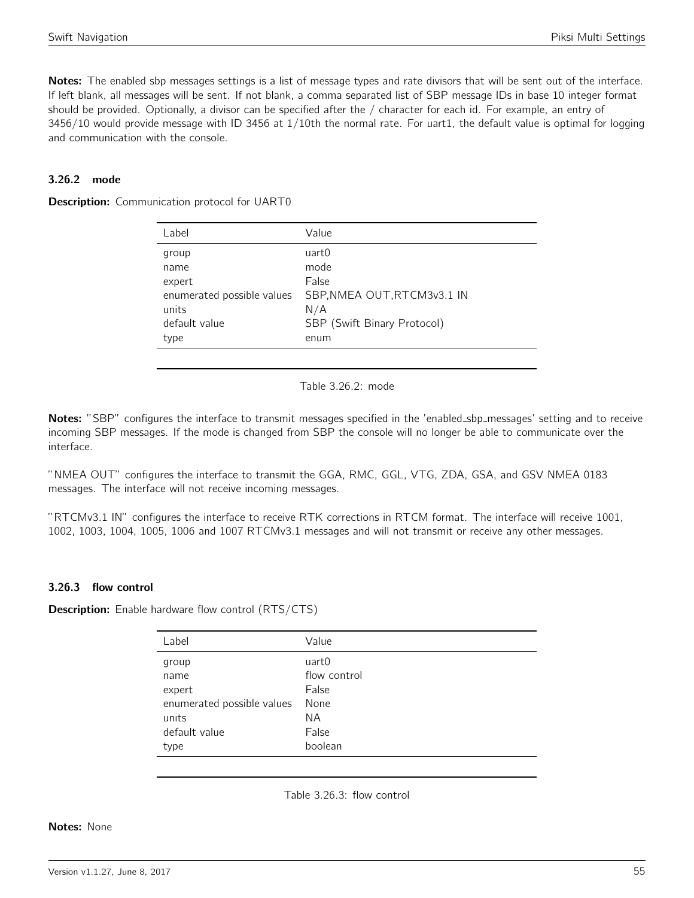Notes: The enabled sbp messages settings is a list of message types and rate divisors that will be sent out of the interface. If left blank, all messages will be sent. If not blank, a comma separated list of SBP message IDs in base 10 integer format should be provided. Optionally, a divisor can be specified after the / character for each id. For example, an entry of 3456/10 would provide message with ID 3456 at 1/10th the normal rate. For uart1, the default value is optimal for logging and communication with the console.

### 3.26.2 mode

<span id="page-54-0"></span>**Description:** Communication protocol for UART0

Table 3.26.2: mode

Notes: "SBP" configures the interface to transmit messages specified in the 'enabled\_sbp\_messages' setting and to receive incoming SBP messages. If the mode is changed from SBP the console will no longer be able to communicate over the interface.

"NMEA OUT" configures the interface to transmit the GGA, RMC, GGL, VTG, ZDA, GSA, and GSV NMEA 0183 messages. The interface will not receive incoming messages.

"RTCMv3.1 IN" configures the interface to receive RTK corrections in RTCM format. The interface will receive 1001, 1002, 1003, 1004, 1005, 1006 and 1007 RTCMv3.1 messages and will not transmit or receive any other messages.

### 3.26.3 flow control

<span id="page-54-1"></span>**Description:** Enable hardware flow control (RTS/CTS)

| Label                      | Value        |
|----------------------------|--------------|
| group                      | uart0        |
| name                       | flow control |
| expert                     | False        |
| enumerated possible values | None         |
| units                      | ΝA           |
| default value              | False        |
| type                       | boolean      |

Table 3.26.3: flow control

#### Notes: None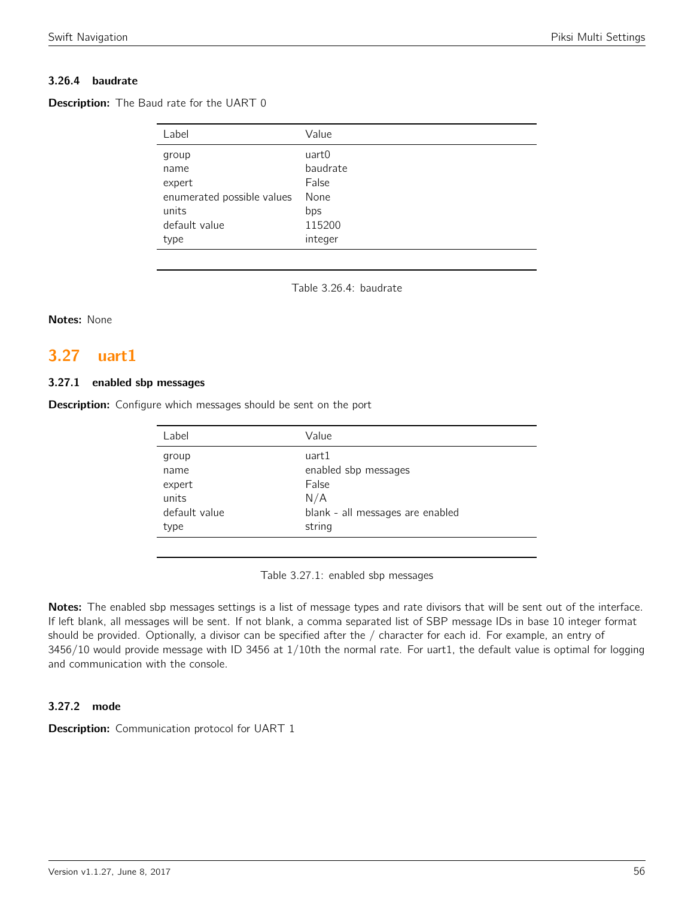### 3.26.4 baudrate

**Description:** The Baud rate for the UART 0

| Label                      | Value    |
|----------------------------|----------|
| group                      | uart0    |
| name                       | baudrate |
| expert                     | False    |
| enumerated possible values | None     |
| units                      | bps      |
| default value              | 115200   |
| type                       | integer  |

Table 3.26.4: baudrate

#### Notes: None

## <span id="page-55-0"></span>3.27 uart1

#### 3.27.1 enabled sbp messages

<span id="page-55-1"></span>**Description:** Configure which messages should be sent on the port

| Label         | Value                            |
|---------------|----------------------------------|
| group         | uart1                            |
| name          | enabled sbp messages             |
| expert        | False                            |
| units         | N/A                              |
| default value | blank - all messages are enabled |
| type          | string                           |
|               |                                  |

Table 3.27.1: enabled sbp messages

Notes: The enabled sbp messages settings is a list of message types and rate divisors that will be sent out of the interface. If left blank, all messages will be sent. If not blank, a comma separated list of SBP message IDs in base 10 integer format should be provided. Optionally, a divisor can be specified after the / character for each id. For example, an entry of 3456/10 would provide message with ID 3456 at 1/10th the normal rate. For uart1, the default value is optimal for logging and communication with the console.

### 3.27.2 mode

**Description:** Communication protocol for UART 1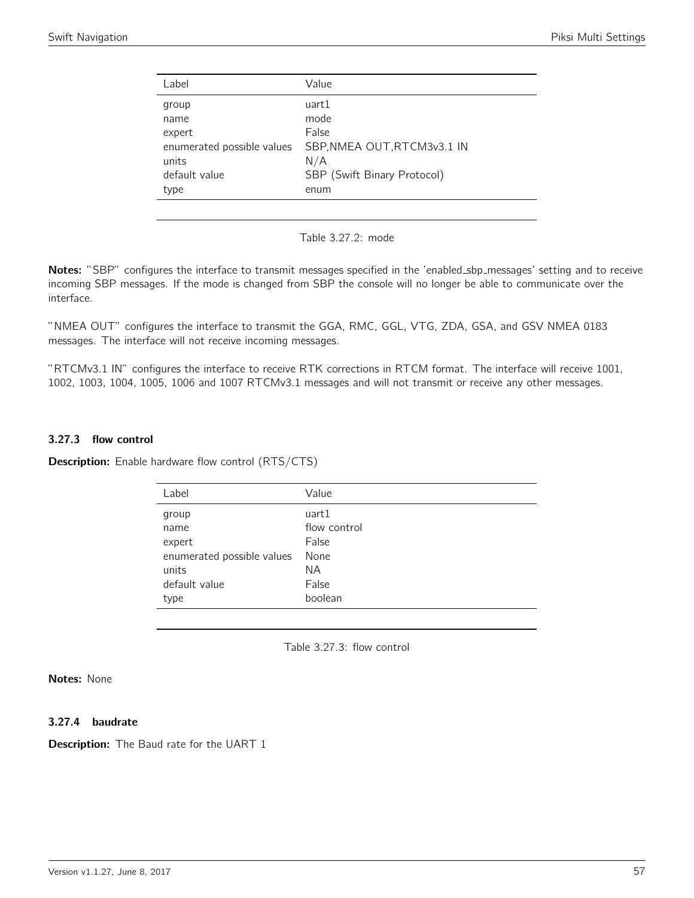<span id="page-56-0"></span>

| Label                      | Value                       |
|----------------------------|-----------------------------|
| group                      | uart1                       |
| name                       | mode                        |
| expert                     | False                       |
| enumerated possible values | SBP, NMEA OUT, RTCM3v3.1 IN |
| units                      | N/A                         |
| default value              | SBP (Swift Binary Protocol) |
| type                       | enum                        |
|                            |                             |

Table 3.27.2: mode

Notes: "SBP" configures the interface to transmit messages specified in the 'enabled\_sbp\_messages' setting and to receive incoming SBP messages. If the mode is changed from SBP the console will no longer be able to communicate over the interface.

"NMEA OUT" configures the interface to transmit the GGA, RMC, GGL, VTG, ZDA, GSA, and GSV NMEA 0183 messages. The interface will not receive incoming messages.

"RTCMv3.1 IN" configures the interface to receive RTK corrections in RTCM format. The interface will receive 1001, 1002, 1003, 1004, 1005, 1006 and 1007 RTCMv3.1 messages and will not transmit or receive any other messages.

### 3.27.3 flow control

<span id="page-56-1"></span>**Description:** Enable hardware flow control (RTS/CTS)

| Label                      | Value        |
|----------------------------|--------------|
| group                      | uart1        |
| name                       | flow control |
| expert                     | False        |
| enumerated possible values | None         |
| units                      | NА           |
| default value              | False        |
| type                       | boolean      |
|                            |              |

Table 3.27.3: flow control

Notes: None

#### 3.27.4 baudrate

**Description:** The Baud rate for the UART 1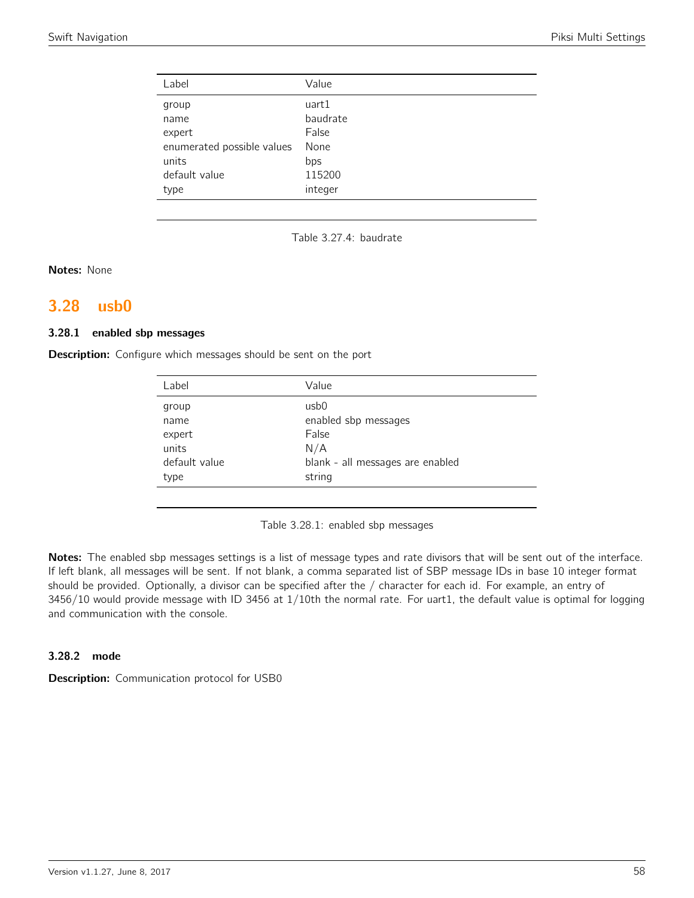| Label                      | Value    |
|----------------------------|----------|
| group                      | uart1    |
| name                       | baudrate |
| expert                     | False    |
| enumerated possible values | None     |
| units                      | bps      |
| default value              | 115200   |
| type                       | integer  |

Table 3.27.4: baudrate

Notes: None

## <span id="page-57-0"></span>3.28 usb0

#### 3.28.1 enabled sbp messages

<span id="page-57-1"></span>Description: Configure which messages should be sent on the port

| Label         | Value                            |
|---------------|----------------------------------|
| group         | usb0                             |
|               | enabled sbp messages             |
| name          |                                  |
| expert        | False                            |
| units         | N/A                              |
| default value | blank - all messages are enabled |
| type          | string                           |
|               |                                  |

Table 3.28.1: enabled sbp messages

Notes: The enabled sbp messages settings is a list of message types and rate divisors that will be sent out of the interface. If left blank, all messages will be sent. If not blank, a comma separated list of SBP message IDs in base 10 integer format should be provided. Optionally, a divisor can be specified after the / character for each id. For example, an entry of 3456/10 would provide message with ID 3456 at 1/10th the normal rate. For uart1, the default value is optimal for logging and communication with the console.

#### 3.28.2 mode

Description: Communication protocol for USB0